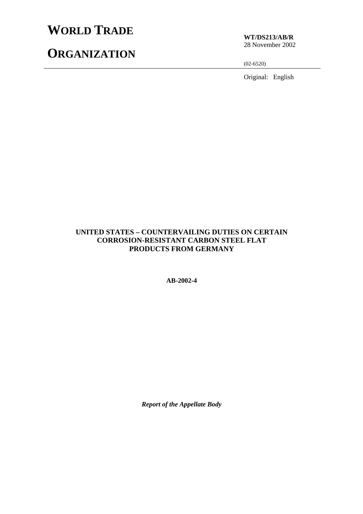# **WORLD TRADE**

## **ORGANIZATION**

**WT/DS213/AB/R** 28 November 2002

(02-6520)

Original: English

## **UNITED STATES – COUNTERVAILING DUTIES ON CERTAIN CORROSION-RESISTANT CARBON STEEL FLAT PRODUCTS FROM GERMANY**

**AB-2002-4**

*Report of the Appellate Body*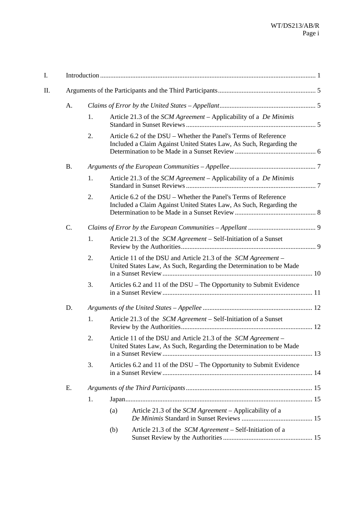| I. |           |    |                                                                   |                                                                                                                                       |  |  |  |
|----|-----------|----|-------------------------------------------------------------------|---------------------------------------------------------------------------------------------------------------------------------------|--|--|--|
| Π. |           |    |                                                                   |                                                                                                                                       |  |  |  |
|    | A.        |    |                                                                   |                                                                                                                                       |  |  |  |
|    |           | 1. | Article 21.3 of the SCM Agreement - Applicability of a De Minimis |                                                                                                                                       |  |  |  |
|    |           | 2. |                                                                   | Article 6.2 of the DSU – Whether the Panel's Terms of Reference<br>Included a Claim Against United States Law, As Such, Regarding the |  |  |  |
|    | <b>B.</b> |    |                                                                   |                                                                                                                                       |  |  |  |
|    |           | 1. |                                                                   | Article 21.3 of the SCM Agreement – Applicability of a De Minimis                                                                     |  |  |  |
|    |           | 2. |                                                                   | Article 6.2 of the DSU - Whether the Panel's Terms of Reference<br>Included a Claim Against United States Law, As Such, Regarding the |  |  |  |
|    | C.        |    |                                                                   |                                                                                                                                       |  |  |  |
|    |           | 1. |                                                                   | Article 21.3 of the SCM Agreement - Self-Initiation of a Sunset                                                                       |  |  |  |
|    |           | 2. |                                                                   | Article 11 of the DSU and Article 21.3 of the SCM Agreement -<br>United States Law, As Such, Regarding the Determination to be Made   |  |  |  |
|    |           | 3. |                                                                   | Articles 6.2 and 11 of the DSU – The Opportunity to Submit Evidence                                                                   |  |  |  |
|    | D.        |    |                                                                   |                                                                                                                                       |  |  |  |
|    |           | 1. |                                                                   | Article 21.3 of the <i>SCM Agreement</i> – Self-Initiation of a Sunset                                                                |  |  |  |
|    |           | 2. |                                                                   | Article 11 of the DSU and Article 21.3 of the SCM Agreement –<br>United States Law, As Such, Regarding the Determination to be Made   |  |  |  |
|    |           | 3. |                                                                   | Articles 6.2 and 11 of the DSU – The Opportunity to Submit Evidence                                                                   |  |  |  |
|    | Ε.        |    |                                                                   |                                                                                                                                       |  |  |  |
|    |           | 1. |                                                                   |                                                                                                                                       |  |  |  |
|    |           |    | (a)                                                               | Article 21.3 of the SCM Agreement - Applicability of a                                                                                |  |  |  |
|    |           |    |                                                                   |                                                                                                                                       |  |  |  |
|    |           |    | (b)                                                               | Article 21.3 of the SCM Agreement - Self-Initiation of a                                                                              |  |  |  |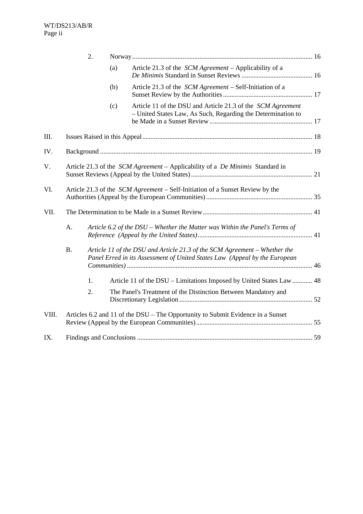|       |                                                                                                                                                                      | 2.                                                                          |     |                                                                                                                             |  |  |  |
|-------|----------------------------------------------------------------------------------------------------------------------------------------------------------------------|-----------------------------------------------------------------------------|-----|-----------------------------------------------------------------------------------------------------------------------------|--|--|--|
|       |                                                                                                                                                                      |                                                                             | (a) | Article 21.3 of the SCM Agreement - Applicability of a                                                                      |  |  |  |
|       |                                                                                                                                                                      |                                                                             | (b) | Article 21.3 of the SCM Agreement - Self-Initiation of a                                                                    |  |  |  |
|       |                                                                                                                                                                      |                                                                             | (c) | Article 11 of the DSU and Article 21.3 of the SCM Agreement<br>- United States Law, As Such, Regarding the Determination to |  |  |  |
| Ш.    |                                                                                                                                                                      |                                                                             |     |                                                                                                                             |  |  |  |
| IV.   |                                                                                                                                                                      |                                                                             |     |                                                                                                                             |  |  |  |
| V.    | Article 21.3 of the SCM Agreement - Applicability of a De Minimis Standard in                                                                                        |                                                                             |     |                                                                                                                             |  |  |  |
| VI.   | Article 21.3 of the SCM Agreement - Self-Initiation of a Sunset Review by the                                                                                        |                                                                             |     |                                                                                                                             |  |  |  |
| VII.  |                                                                                                                                                                      |                                                                             |     |                                                                                                                             |  |  |  |
|       | A.                                                                                                                                                                   | Article 6.2 of the DSU - Whether the Matter was Within the Panel's Terms of |     |                                                                                                                             |  |  |  |
|       | <b>B.</b><br>Article 11 of the DSU and Article 21.3 of the SCM Agreement - Whether the<br>Panel Erred in its Assessment of United States Law (Appeal by the European |                                                                             |     |                                                                                                                             |  |  |  |
|       |                                                                                                                                                                      | 1.                                                                          |     | Article 11 of the DSU - Limitations Imposed by United States Law  48                                                        |  |  |  |
|       |                                                                                                                                                                      | 2.                                                                          |     | The Panel's Treatment of the Distinction Between Mandatory and                                                              |  |  |  |
| VIII. | Articles 6.2 and 11 of the DSU - The Opportunity to Submit Evidence in a Sunset                                                                                      |                                                                             |     |                                                                                                                             |  |  |  |
| IX.   |                                                                                                                                                                      |                                                                             |     |                                                                                                                             |  |  |  |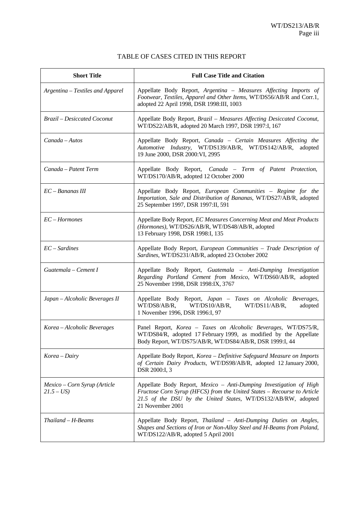#### TABLE OF CASES CITED IN THIS REPORT

| <b>Short Title</b>                          | <b>Full Case Title and Citation</b>                                                                                                                                                                                                |
|---------------------------------------------|------------------------------------------------------------------------------------------------------------------------------------------------------------------------------------------------------------------------------------|
| Argentina - Textiles and Apparel            | Appellate Body Report, Argentina - Measures Affecting Imports of<br>Footwear, Textiles, Apparel and Other Items, WT/DS56/AB/R and Corr.1,<br>adopted 22 April 1998, DSR 1998:III, 1003                                             |
| <b>Brazil</b> – Desiccated Coconut          | Appellate Body Report, Brazil - Measures Affecting Desiccated Coconut,<br>WT/DS22/AB/R, adopted 20 March 1997, DSR 1997:I, 167                                                                                                     |
| Canada - Autos                              | Appellate Body Report, Canada - Certain Measures Affecting the<br>Automotive Industry, WT/DS139/AB/R, WT/DS142/AB/R, adopted<br>19 June 2000, DSR 2000: VI, 2995                                                                   |
| Canada - Patent Term                        | Appellate Body Report, Canada - Term of Patent Protection,<br>WT/DS170/AB/R, adopted 12 October 2000                                                                                                                               |
| $EC - Bananas III$                          | Appellate Body Report, European Communities - Regime for the<br>Importation, Sale and Distribution of Bananas, WT/DS27/AB/R, adopted<br>25 September 1997, DSR 1997:II, 591                                                        |
| $EC-Hormones$                               | Appellate Body Report, EC Measures Concerning Meat and Meat Products<br>(Hormones), WT/DS26/AB/R, WT/DS48/AB/R, adopted<br>13 February 1998, DSR 1998:I, 135                                                                       |
| $EC-Sardines$                               | Appellate Body Report, European Communities - Trade Description of<br>Sardines, WT/DS231/AB/R, adopted 23 October 2002                                                                                                             |
| Guatemala - Cement I                        | Appellate Body Report, Guatemala - Anti-Dumping Investigation<br>Regarding Portland Cement from Mexico, WT/DS60/AB/R, adopted<br>25 November 1998, DSR 1998:IX, 3767                                                               |
| Japan - Alcoholic Beverages II              | Appellate Body Report, Japan - Taxes on Alcoholic Beverages,<br>WT/DS8/AB/R,<br>WT/DS10/AB/R, WT/DS11/AB/R,<br>adopted<br>1 November 1996, DSR 1996:I, 97                                                                          |
| Korea - Alcoholic Beverages                 | Panel Report, Korea - Taxes on Alcoholic Beverages, WT/DS75/R,<br>WT/DS84/R, adopted 17 February 1999, as modified by the Appellate<br>Body Report, WT/DS75/AB/R, WT/DS84/AB/R, DSR 1999:I, 44                                     |
| $Korea - Dairy$                             | Appellate Body Report, Korea - Definitive Safeguard Measure on Imports<br>of Certain Dairy Products, WT/DS98/AB/R, adopted 12 January 2000,<br>DSR 2000:I, 3                                                                       |
| Mexico – Corn Syrup (Article<br>$21.5 - US$ | Appellate Body Report, Mexico - Anti-Dumping Investigation of High<br>Fructose Corn Syrup (HFCS) from the United States - Recourse to Article<br>21.5 of the DSU by the United States, WT/DS132/AB/RW, adopted<br>21 November 2001 |
| Thailand - H-Beams                          | Appellate Body Report, Thailand - Anti-Dumping Duties on Angles,<br>Shapes and Sections of Iron or Non-Alloy Steel and H-Beams from Poland,<br>WT/DS122/AB/R, adopted 5 April 2001                                                 |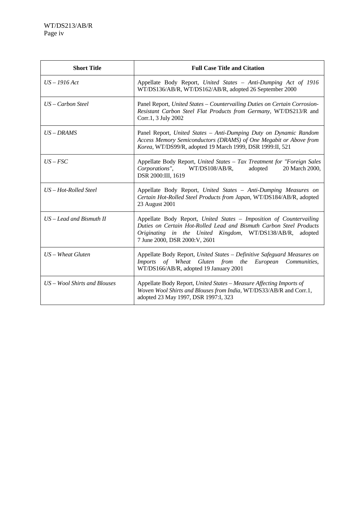| <b>Short Title</b>           | <b>Full Case Title and Citation</b>                                                                                                                                                                                                       |
|------------------------------|-------------------------------------------------------------------------------------------------------------------------------------------------------------------------------------------------------------------------------------------|
| $US - 1916$ Act              | Appellate Body Report, United States - Anti-Dumping Act of 1916<br>WT/DS136/AB/R, WT/DS162/AB/R, adopted 26 September 2000                                                                                                                |
| US – Carbon Steel            | Panel Report, United States – Countervailing Duties on Certain Corrosion-<br>Resistant Carbon Steel Flat Products from Germany, WT/DS213/R and<br>Corr.1, 3 July 2002                                                                     |
| $US - DRAMS$                 | Panel Report, United States - Anti-Dumping Duty on Dynamic Random<br>Access Memory Semiconductors (DRAMS) of One Megabit or Above from<br>Korea, WT/DS99/R, adopted 19 March 1999, DSR 1999:II, 521                                       |
| $US-FSC$                     | Appellate Body Report, United States - Tax Treatment for "Foreign Sales<br>Corporations", WT/DS108/AB/R,<br>adopted<br>20 March 2000,<br>DSR 2000:III, 1619                                                                               |
| US – Hot-Rolled Steel        | Appellate Body Report, United States - Anti-Dumping Measures on<br>Certain Hot-Rolled Steel Products from Japan, WT/DS184/AB/R, adopted<br>23 August 2001                                                                                 |
| US - Lead and Bismuth II     | Appellate Body Report, United States - Imposition of Countervailing<br>Duties on Certain Hot-Rolled Lead and Bismuth Carbon Steel Products<br>Originating in the United Kingdom, WT/DS138/AB/R, adopted<br>7 June 2000, DSR 2000: V, 2601 |
| $US - Wh$ eat Gluten         | Appellate Body Report, United States - Definitive Safeguard Measures on<br>of Wheat Gluten from the European Communities,<br><i>Imports</i><br>WT/DS166/AB/R, adopted 19 January 2001                                                     |
| US - Wool Shirts and Blouses | Appellate Body Report, United States - Measure Affecting Imports of<br>Woven Wool Shirts and Blouses from India, WT/DS33/AB/R and Corr.1,<br>adopted 23 May 1997, DSR 1997:I, 323                                                         |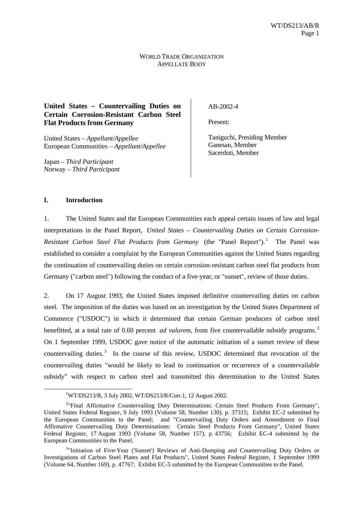#### WORLD TRADE ORGANIZATION APPELLATE BODY

## **United States – Countervailing Duties on Certain Corrosion-Resistant Carbon Steel Flat Products from Germany**

United States – *Appellant/Appellee* European Communities – *Appellant/Appellee*

Japan – *Third Participant* Norway – *Third Participant* AB-2002-4

Present:

Taniguchi, Presiding Member Ganesan, Member Sacerdoti, Member

#### **I. Introduction**

l

1. The United States and the European Communities each appeal certain issues of law and legal interpretations in the Panel Report, *United States – Countervailing Duties on Certain Corrosion-*Resistant Carbon Steel Flat Products from Germany (the "Panel Report").<sup>1</sup> The Panel was established to consider a complaint by the European Communities against the United States regarding the continuation of countervailing duties on certain corrosion-resistant carbon steel flat products from Germany ("carbon steel") following the conduct of a five-year, or "sunset", review of those duties.

2. On 17 August 1993, the United States imposed definitive countervailing duties on carbon steel. The imposition of the duties was based on an investigation by the United States Department of Commerce ("USDOC") in which it determined that certain German producers of carbon steel benefitted, at a total rate of 0.60 percent *ad valorem*, from five countervailable subsidy programs. <sup>2</sup> On 1 September 1999, USDOC gave notice of the automatic initiation of a sunset review of these countervailing duties.<sup>3</sup> In the course of this review, USDOC determined that revocation of the countervailing duties "would be likely to lead to continuation or recurrence of a countervailable subsidy" with respect to carbon steel and transmitted this determination to the United States

<sup>1</sup>WT/DS213/R, 3 July 2002, WT/DS213/R/Corr.1, 12 August 2002.

<sup>&</sup>lt;sup>2</sup>"Final Affirmative Countervailing Duty Determinations: Certain Steel Products From Germany", United States Federal Register, 9 July 1993 (Volume 58, Number 130), p. 37315; Exhibit EC-2 submitted by the European Communities to the Panel; and "Countervailing Duty Orders and Amendment to Final Affirmative Countervailing Duty Determinations: Certain Steel Products From Germany", United States Federal Register, 17 August 1993 (Volume 58, Number 157), p. 43756; Exhibit EC-4 submitted by the European Communities to the Panel.

<sup>&</sup>lt;sup>3</sup>"Initiation of Five-Year ('Sunset') Reviews of Anti-Dumping and Countervailing Duty Orders or Investigations of Carbon Steel Plates and Flat Products", United States Federal Register, 1 September 1999 (Volume 64, Number 169), p. 47767; Exhibit EC-5 submitted by the European Communities to the Panel.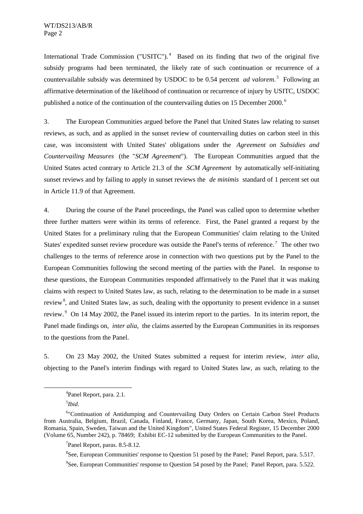International Trade Commission ("USITC").<sup>4</sup> Based on its finding that two of the original five subsidy programs had been terminated, the likely rate of such continuation or recurrence of a countervailable subsidy was determined by USDOC to be 0.54 percent *ad valorem*. 5 Following an affirmative determination of the likelihood of continuation or recurrence of injury by USITC, USDOC published a notice of the continuation of the countervailing duties on 15 December 2000. <sup>6</sup>

3. The European Communities argued before the Panel that United States law relating to sunset reviews, as such, and as applied in the sunset review of countervailing duties on carbon steel in this case, was inconsistent with United States' obligations under the *Agreement on Subsidies and Countervailing Measures* (the "*SCM Agreement*"). The European Communities argued that the United States acted contrary to Article 21.3 of the *SCM Agreement* by automatically self-initiating sunset reviews and by failing to apply in sunset reviews the *de minimis* standard of 1 percent set out in Article 11.9 of that Agreement.

4. During the course of the Panel proceedings, the Panel was called upon to determine whether three further matters were within its terms of reference. First, the Panel granted a request by the United States for a preliminary ruling that the European Communities' claim relating to the United States' expedited sunset review procedure was outside the Panel's terms of reference.<sup>7</sup> The other two challenges to the terms of reference arose in connection with two questions put by the Panel to the European Communities following the second meeting of the parties with the Panel. In response to these questions, the European Communities responded affirmatively to the Panel that it was making claims with respect to United States law, as such, relating to the determination to be made in a sunset review<sup>8</sup>, and United States law, as such, dealing with the opportunity to present evidence in a sunset review.<sup>9</sup> On 14 May 2002, the Panel issued its interim report to the parties. In its interim report, the Panel made findings on, *inter alia*, the claims asserted by the European Communities in its responses to the questions from the Panel.

5. On 23 May 2002, the United States submitted a request for interim review, *inter alia*, objecting to the Panel's interim findings with regard to United States law, as such, relating to the

5 *Ibid*.

 $\overline{\phantom{a}}$ 

<sup>7</sup>Panel Report, paras. 8.5-8.12.

 ${}^{8}$ See, European Communities' response to Question 51 posed by the Panel; Panel Report, para. 5.517.

<sup>9</sup>See, European Communities' response to Question 54 posed by the Panel; Panel Report, para. 5.522.

<sup>&</sup>lt;sup>4</sup>Panel Report, para. 2.1.

<sup>&</sup>lt;sup>6</sup>"Continuation of Antidumping and Countervailing Duty Orders on Certain Carbon Steel Products from Australia, Belgium, Brazil, Canada, Finland, France, Germany, Japan, South Korea, Mexico, Poland, Romania, Spain, Sweden, Taiwan and the United Kingdom", United States Federal Register, 15 December 2000 (Volume 65, Number 242), p. 78469; Exhibit EC-12 submitted by the European Communities to the Panel.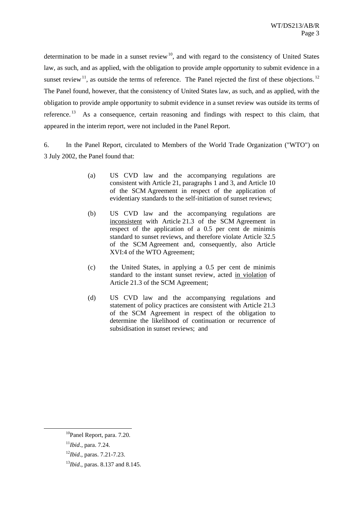determination to be made in a sunset review<sup>10</sup>, and with regard to the consistency of United States law, as such, and as applied, with the obligation to provide ample opportunity to submit evidence in a sunset review<sup>11</sup>, as outside the terms of reference. The Panel rejected the first of these objections.<sup>12</sup> The Panel found, however, that the consistency of United States law, as such, and as applied, with the obligation to provide ample opportunity to submit evidence in a sunset review was outside its terms of reference.<sup>13</sup> As a consequence, certain reasoning and findings with respect to this claim, that appeared in the interim report, were not included in the Panel Report.

6. In the Panel Report, circulated to Members of the World Trade Organization ("WTO") on 3 July 2002, the Panel found that:

- (a) US CVD law and the accompanying regulations are consistent with Article 21, paragraphs 1 and 3, and Article 10 of the SCM Agreement in respect of the application of evidentiary standards to the self-initiation of sunset reviews;
- (b) US CVD law and the accompanying regulations are inconsistent with Article 21.3 of the SCM Agreement in respect of the application of a 0.5 per cent de minimis standard to sunset reviews, and therefore violate Article 32.5 of the SCM Agreement and, consequently, also Article XVI:4 of the WTO Agreement;
- (c) the United States, in applying a 0.5 per cent de minimis standard to the instant sunset review, acted in violation of Article 21.3 of the SCM Agreement;
- (d) US CVD law and the accompanying regulations and statement of policy practices are consistent with Article 21.3 of the SCM Agreement in respect of the obligation to determine the likelihood of continuation or recurrence of subsidisation in sunset reviews; and

<sup>10</sup>Panel Report, para. 7.20.

<sup>11</sup>*Ibid*., para. 7.24.

<sup>12</sup>*Ibid*., paras. 7.21-7.23.

<sup>13</sup>*Ibid*., paras. 8.137 and 8.145.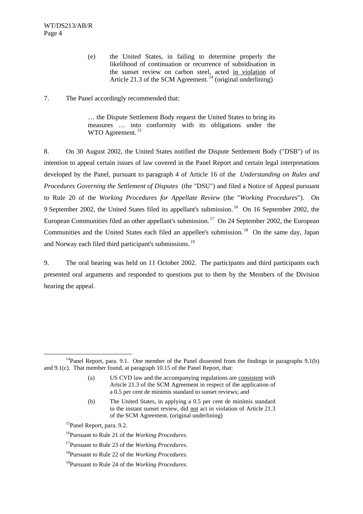(e) the United States, in failing to determine properly the likelihood of continuation or recurrence of subsidisation in the sunset review on carbon steel, acted in violation of Article 21.3 of the SCM Agreement.<sup>14</sup> (original underlining)

7. The Panel accordingly recommended that:

… the Dispute Settlement Body request the United States to bring its measures … into conformity with its obligations under the WTO Agreement.<sup>15</sup>

8. On 30 August 2002, the United States notified the Dispute Settlement Body ("DSB") of its intention to appeal certain issues of law covered in the Panel Report and certain legal interpretations developed by the Panel, pursuant to paragraph 4 of Article 16 of the *Understanding on Rules and Procedures Governing the Settlement of Disputes* (the "DSU") and filed a Notice of Appeal pursuant to Rule 20 of the *Working Procedures for Appellate Review* (the "*Working Procedures*"). On 9 September 2002, the United States filed its appellant's submission. <sup>16</sup> On 16 September 2002, the European Communities filed an other appellant's submission.<sup>17</sup> On 24 September 2002, the European Communities and the United States each filed an appellee's submission.<sup>18</sup> On the same day, Japan and Norway each filed third participant's submissions. <sup>19</sup>

9. The oral hearing was held on 11 October 2002. The participants and third participants each presented oral arguments and responded to questions put to them by the Members of the Division hearing the appeal.

(b) The United States, in applying a 0.5 per cent de minimis standard to the instant sunset review, did not act in violation of Article 21.3 of the SCM Agreement. (original underlining)

l <sup>14</sup>Panel Report, para. 9.1. One member of the Panel dissented from the findings in paragraphs 9.1(b) and 9.1(c). That member found, at paragraph 10.15 of the Panel Report, that:

<sup>(</sup>a) US CVD law and the accompanying regulations are consistent with Article 21.3 of the SCM Agreement in respect of the application of a 0.5 per cent de minimis standard to sunset reviews; and

<sup>&</sup>lt;sup>15</sup>Panel Report, para. 9.2.

<sup>16</sup>Pursuant to Rule 21 of the *Working Procedures*.

<sup>17</sup>Pursuant to Rule 23 of the *Working Procedures*.

<sup>18</sup>Pursuant to Rule 22 of the *Working Procedures*.

<sup>19</sup>Pursuant to Rule 24 of the *Working Procedures*.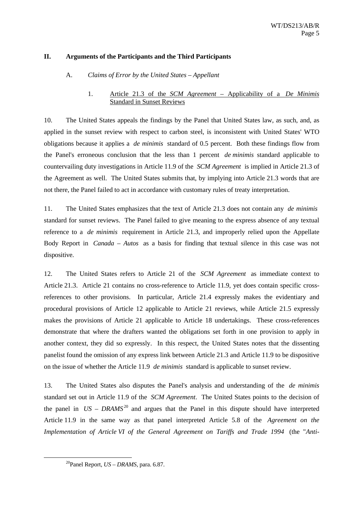#### **II. Arguments of the Participants and the Third Participants**

#### A. *Claims of Error by the United States – Appellant*

## 1. Article 21.3 of the *SCM Agreement* – Applicability of a *De Minimis* Standard in Sunset Reviews

10. The United States appeals the findings by the Panel that United States law, as such, and, as applied in the sunset review with respect to carbon steel, is inconsistent with United States' WTO obligations because it applies a *de minimis* standard of 0.5 percent. Both these findings flow from the Panel's erroneous conclusion that the less than 1 percent *de minimis* standard applicable to countervailing duty investigations in Article 11.9 of the *SCM Agreement* is implied in Article 21.3 of the Agreement as well. The United States submits that, by implying into Article 21.3 words that are not there, the Panel failed to act in accordance with customary rules of treaty interpretation.

11. The United States emphasizes that the text of Article 21.3 does not contain any *de minimis* standard for sunset reviews. The Panel failed to give meaning to the express absence of any textual reference to a *de minimis* requirement in Article 21.3, and improperly relied upon the Appellate Body Report in *Canada – Autos* as a basis for finding that textual silence in this case was not dispositive.

12. The United States refers to Article 21 of the *SCM Agreement* as immediate context to Article 21.3. Article 21 contains no cross-reference to Article 11.9, yet does contain specific crossreferences to other provisions. In particular, Article 21.4 expressly makes the evidentiary and procedural provisions of Article 12 applicable to Article 21 reviews, while Article 21.5 expressly makes the provisions of Article 21 applicable to Article 18 undertakings. These cross-references demonstrate that where the drafters wanted the obligations set forth in one provision to apply in another context, they did so expressly. In this respect, the United States notes that the dissenting panelist found the omission of any express link between Article 21.3 and Article 11.9 to be dispositive on the issue of whether the Article 11.9 *de minimis* standard is applicable to sunset review.

13. The United States also disputes the Panel's analysis and understanding of the *de minimis* standard set out in Article 11.9 of the *SCM Agreement*. The United States points to the decision of the panel in  $US - DRAMS^{20}$  and argues that the Panel in this dispute should have interpreted Article 11.9 in the same way as that panel interpreted Article 5.8 of the *Agreement on the Implementation of Article VI of the General Agreement on Tariffs and Trade 1994* (the "*Anti-*

<sup>20</sup>Panel Report, *US – DRAMS*, para. 6.87.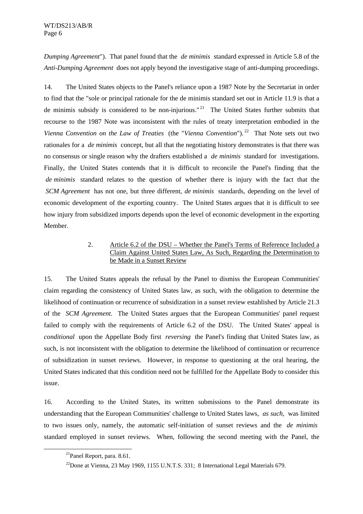*Dumping Agreement*"). That panel found that the *de minimis* standard expressed in Article 5.8 of the *Anti-Dumping Agreement* does not apply beyond the investigative stage of anti-dumping proceedings.

14. The United States objects to the Panel's reliance upon a 1987 Note by the Secretariat in order to find that the "sole or principal rationale for the de minimis standard set out in Article 11.9 is that a de minimis subsidy is considered to be non-injurious."<sup>21</sup> The United States further submits that recourse to the 1987 Note was inconsistent with the rules of treaty interpretation embodied in the *Vienna Convention on the Law of Treaties* (the "*Vienna Convention*").<sup>22</sup> That Note sets out two rationales for a *de minimis* concept, but all that the negotiating history demonstrates is that there was no consensus or single reason why the drafters established a *de minimis* standard for investigations. Finally, the United States contends that it is difficult to reconcile the Panel's finding that the *de minimis* standard relates to the question of whether there is injury with the fact that the *SCM Agreement* has not one, but three different, *de minimis* standards, depending on the level of economic development of the exporting country. The United States argues that it is difficult to see how injury from subsidized imports depends upon the level of economic development in the exporting Member.

#### 2. Article 6.2 of the DSU – Whether the Panel's Terms of Reference Included a Claim Against United States Law, As Such, Regarding the Determination to be Made in a Sunset Review

15. The United States appeals the refusal by the Panel to dismiss the European Communities' claim regarding the consistency of United States law, as such, with the obligation to determine the likelihood of continuation or recurrence of subsidization in a sunset review established by Article 21.3 of the *SCM Agreement*. The United States argues that the European Communities' panel request failed to comply with the requirements of Article 6.2 of the DSU. The United States' appeal is *conditional* upon the Appellate Body first *reversing* the Panel's finding that United States law, as such, is not inconsistent with the obligation to determine the likelihood of continuation or recurrence of subsidization in sunset reviews. However, in response to questioning at the oral hearing, the United States indicated that this condition need not be fulfilled for the Appellate Body to consider this issue.

16. According to the United States, its written submissions to the Panel demonstrate its understanding that the European Communities' challenge to United States laws, *as such*, was limited to two issues only, namely, the automatic self-initiation of sunset reviews and the *de minimis* standard employed in sunset reviews. When, following the second meeting with the Panel, the

 $\overline{\phantom{a}}$ 

<sup>21</sup>Panel Report, para. 8.61.

 $^{22}$ Done at Vienna, 23 May 1969, 1155 U.N.T.S. 331; 8 International Legal Materials 679.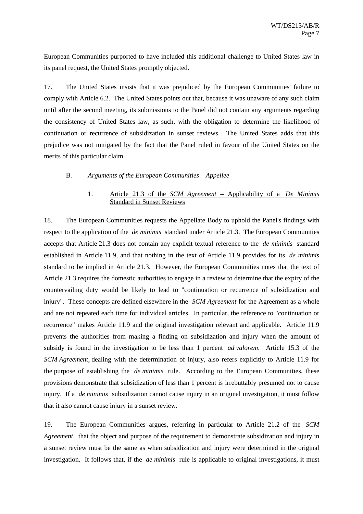European Communities purported to have included this additional challenge to United States law in its panel request, the United States promptly objected.

17. The United States insists that it was prejudiced by the European Communities' failure to comply with Article 6.2. The United States points out that, because it was unaware of any such claim until after the second meeting, its submissions to the Panel did not contain any arguments regarding the consistency of United States law, as such, with the obligation to determine the likelihood of continuation or recurrence of subsidization in sunset reviews. The United States adds that this prejudice was not mitigated by the fact that the Panel ruled in favour of the United States on the merits of this particular claim.

#### B. *Arguments of the European Communities – Appellee*

#### 1. Article 21.3 of the *SCM Agreement –* Applicability of a *De Minimis* Standard in Sunset Reviews

18. The European Communities requests the Appellate Body to uphold the Panel's findings with respect to the application of the *de minimis* standard under Article 21.3. The European Communities accepts that Article 21.3 does not contain any explicit textual reference to the *de minimis* standard established in Article 11.9, and that nothing in the text of Article 11.9 provides for its *de minimis* standard to be implied in Article 21.3. However, the European Communities notes that the text of Article 21.3 requires the domestic authorities to engage in a review to determine that the expiry of the countervailing duty would be likely to lead to "continuation or recurrence of subsidization and injury". These concepts are defined elsewhere in the *SCM Agreement* for the Agreement as a whole and are not repeated each time for individual articles. In particular, the reference to "continuation or recurrence" makes Article 11.9 and the original investigation relevant and applicable. Article 11.9 prevents the authorities from making a finding on subsidization and injury when the amount of subsidy is found in the investigation to be less than 1 percent *ad valorem*. Article 15.3 of the *SCM Agreement*, dealing with the determination of injury, also refers explicitly to Article 11.9 for the purpose of establishing the *de minimis* rule. According to the European Communities, these provisions demonstrate that subsidization of less than 1 percent is irrebuttably presumed not to cause injury. If a *de minimis* subsidization cannot cause injury in an original investigation, it must follow that it also cannot cause injury in a sunset review.

19. The European Communities argues, referring in particular to Article 21.2 of the *SCM Agreement*, that the object and purpose of the requirement to demonstrate subsidization and injury in a sunset review must be the same as when subsidization and injury were determined in the original investigation. It follows that, if the *de minimis* rule is applicable to original investigations, it must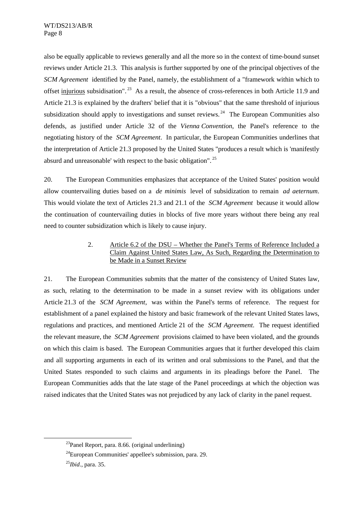also be equally applicable to reviews generally and all the more so in the context of time-bound sunset reviews under Article 21.3. This analysis is further supported by one of the principal objectives of the *SCM Agreement* identified by the Panel, namely, the establishment of a "framework within which to offset injurious subsidisation". <sup>23</sup> As a result, the absence of cross-references in both Article 11.9 and Article 21.3 is explained by the drafters' belief that it is "obvious" that the same threshold of injurious subsidization should apply to investigations and sunset reviews.  $24$  The European Communities also defends, as justified under Article 32 of the *Vienna Convention*, the Panel's reference to the negotiating history of the *SCM Agreement*. In particular, the European Communities underlines that the interpretation of Article 21.3 proposed by the United States "produces a result which is 'manifestly absurd and unreasonable' with respect to the basic obligation". <sup>25</sup>

20. The European Communities emphasizes that acceptance of the United States' position would allow countervailing duties based on a *de minimis* level of subsidization to remain *ad aeternum*. This would violate the text of Articles 21.3 and 21.1 of the *SCM Agreement* because it would allow the continuation of countervailing duties in blocks of five more years without there being any real need to counter subsidization which is likely to cause injury.

### 2. Article 6.2 of the DSU – Whether the Panel's Terms of Reference Included a Claim Against United States Law, As Such, Regarding the Determination to be Made in a Sunset Review

21. The European Communities submits that the matter of the consistency of United States law, as such, relating to the determination to be made in a sunset review with its obligations under Article 21.3 of the *SCM Agreement*, was within the Panel's terms of reference. The request for establishment of a panel explained the history and basic framework of the relevant United States laws, regulations and practices, and mentioned Article 21 of the *SCM Agreement*. The request identified the relevant measure, the *SCM Agreement* provisions claimed to have been violated, and the grounds on which this claim is based. The European Communities argues that it further developed this claim and all supporting arguments in each of its written and oral submissions to the Panel, and that the United States responded to such claims and arguments in its pleadings before the Panel. The European Communities adds that the late stage of the Panel proceedings at which the objection was raised indicates that the United States was not prejudiced by any lack of clarity in the panel request.

 $^{23}$ Panel Report, para. 8.66. (original underlining)

 $^{24}$ European Communities' appellee's submission, para. 29.

<sup>25</sup>*Ibid*., para. 35.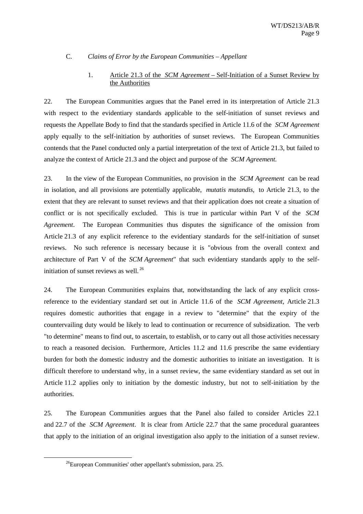## C. *Claims of Error by the European Communities – Appellant*

### 1. Article 21.3 of the *SCM Agreement –* Self-Initiation of a Sunset Review by the Authorities

22. The European Communities argues that the Panel erred in its interpretation of Article 21.3 with respect to the evidentiary standards applicable to the self-initiation of sunset reviews and requests the Appellate Body to find that the standards specified in Article 11.6 of the *SCM Agreement* apply equally to the self-initiation by authorities of sunset reviews. The European Communities contends that the Panel conducted only a partial interpretation of the text of Article 21.3, but failed to analyze the context of Article 21.3 and the object and purpose of the *SCM Agreement.*

23. In the view of the European Communities, no provision in the *SCM Agreement* can be read in isolation, and all provisions are potentially applicable, *mutatis mutandis*, to Article 21.3, to the extent that they are relevant to sunset reviews and that their application does not create a situation of conflict or is not specifically excluded. This is true in particular within Part V of the *SCM Agreement*. The European Communities thus disputes the significance of the omission from Article 21.3 of any explicit reference to the evidentiary standards for the self-initiation of sunset reviews. No such reference is necessary because it is "obvious from the overall context and architecture of Part V of the *SCM Agreement*" that such evidentiary standards apply to the selfinitiation of sunset reviews as well. <sup>26</sup>

24. The European Communities explains that, notwithstanding the lack of any explicit crossreference to the evidentiary standard set out in Article 11.6 of the *SCM Agreement*, Article 21.3 requires domestic authorities that engage in a review to "determine" that the expiry of the countervailing duty would be likely to lead to continuation or recurrence of subsidization. The verb "to determine" means to find out, to ascertain, to establish, or to carry out all those activities necessary to reach a reasoned decision. Furthermore, Articles 11.2 and 11.6 prescribe the same evidentiary burden for both the domestic industry and the domestic authorities to initiate an investigation. It is difficult therefore to understand why, in a sunset review, the same evidentiary standard as set out in Article 11.2 applies only to initiation by the domestic industry, but not to self-initiation by the authorities.

25. The European Communities argues that the Panel also failed to consider Articles 22.1 and 22.7 of the *SCM Agreement*. It is clear from Article 22.7 that the same procedural guarantees that apply to the initiation of an original investigation also apply to the initiation of a sunset review.

 $26$ European Communities' other appellant's submission, para. 25.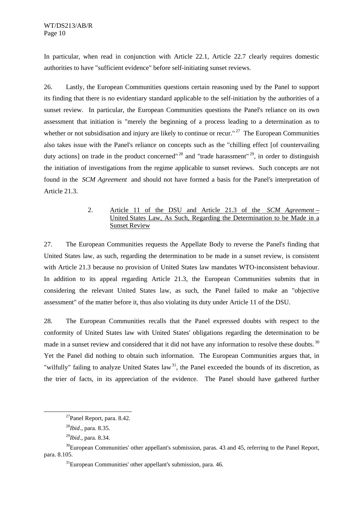In particular, when read in conjunction with Article 22.1, Article 22.7 clearly requires domestic authorities to have "sufficient evidence" before self-initiating sunset reviews.

26. Lastly, the European Communities questions certain reasoning used by the Panel to support its finding that there is no evidentiary standard applicable to the self-initiation by the authorities of a sunset review. In particular, the European Communities questions the Panel's reliance on its own assessment that initiation is "merely the beginning of a process leading to a determination as to whether or not subsidisation and injury are likely to continue or recur."<sup>27</sup> The European Communities also takes issue with the Panel's reliance on concepts such as the "chilling effect [of countervailing duty actions] on trade in the product concerned"<sup>28</sup> and "trade harassment"<sup>29</sup>, in order to distinguish the initiation of investigations from the regime applicable to sunset reviews. Such concepts are not found in the *SCM Agreement* and should not have formed a basis for the Panel's interpretation of Article 21.3.

#### 2. Article 11 of the DSU and Article 21.3 of the *SCM Agreement –* United States Law, As Such, Regarding the Determination to be Made in a Sunset Review

27. The European Communities requests the Appellate Body to reverse the Panel's finding that United States law, as such, regarding the determination to be made in a sunset review, is consistent with Article 21.3 because no provision of United States law mandates WTO-inconsistent behaviour. In addition to its appeal regarding Article 21.3, the European Communities submits that in considering the relevant United States law, as such, the Panel failed to make an "objective assessment" of the matter before it, thus also violating its duty under Article 11 of the DSU.

28. The European Communities recalls that the Panel expressed doubts with respect to the conformity of United States law with United States' obligations regarding the determination to be made in a sunset review and considered that it did not have any information to resolve these doubts.<sup>30</sup> Yet the Panel did nothing to obtain such information. The European Communities argues that, in "wilfully" failing to analyze United States law<sup>31</sup>, the Panel exceeded the bounds of its discretion, as the trier of facts, in its appreciation of the evidence. The Panel should have gathered further

 $\overline{\phantom{a}}$ 

<sup>27</sup>Panel Report, para. 8.42.

<sup>28</sup>*Ibid*., para. 8.35.

<sup>29</sup>*Ibid*., para. 8.34.

 $30$ European Communities' other appellant's submission, paras. 43 and 45, referring to the Panel Report, para. 8.105.

 $31$ European Communities' other appellant's submission, para. 46.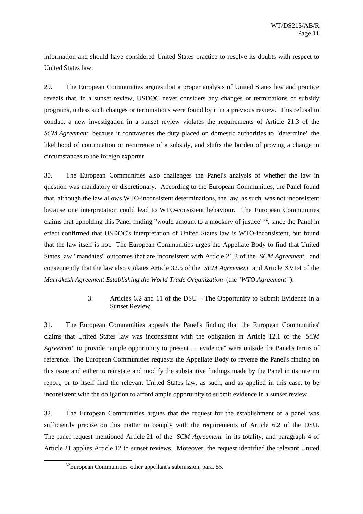information and should have considered United States practice to resolve its doubts with respect to United States law.

29. The European Communities argues that a proper analysis of United States law and practice reveals that, in a sunset review, USDOC never considers any changes or terminations of subsidy programs, unless such changes or terminations were found by it in a previous review. This refusal to conduct a new investigation in a sunset review violates the requirements of Article 21.3 of the *SCM Agreement* because it contravenes the duty placed on domestic authorities to "determine" the likelihood of continuation or recurrence of a subsidy, and shifts the burden of proving a change in circumstances to the foreign exporter.

30. The European Communities also challenges the Panel's analysis of whether the law in question was mandatory or discretionary. According to the European Communities, the Panel found that, although the law allows WTO-inconsistent determinations, the law, as such, was not inconsistent because one interpretation could lead to WTO-consistent behaviour. The European Communities claims that upholding this Panel finding "would amount to a mockery of justice" <sup>32</sup>, since the Panel in effect confirmed that USDOC's interpretation of United States law is WTO-inconsistent, but found that the law itself is not. The European Communities urges the Appellate Body to find that United States law "mandates" outcomes that are inconsistent with Article 21.3 of the *SCM Agreement*, and consequently that the law also violates Article 32.5 of the *SCM Agreement* and Article XVI:4 of the *Marrakesh Agreement Establishing the World Trade Organization* (the "*WTO Agreement* ").

### 3. Articles 6.2 and 11 of the DSU – The Opportunity to Submit Evidence in a Sunset Review

31. The European Communities appeals the Panel's finding that the European Communities' claims that United States law was inconsistent with the obligation in Article 12.1 of the *SCM Agreement* to provide "ample opportunity to present … evidence" were outside the Panel's terms of reference. The European Communities requests the Appellate Body to reverse the Panel's finding on this issue and either to reinstate and modify the substantive findings made by the Panel in its interim report, or to itself find the relevant United States law, as such, and as applied in this case, to be inconsistent with the obligation to afford ample opportunity to submit evidence in a sunset review.

32. The European Communities argues that the request for the establishment of a panel was sufficiently precise on this matter to comply with the requirements of Article 6.2 of the DSU. The panel request mentioned Article 21 of the *SCM Agreement* in its totality, and paragraph 4 of Article 21 applies Article 12 to sunset reviews. Moreover, the request identified the relevant United

 $32$ European Communities' other appellant's submission, para. 55.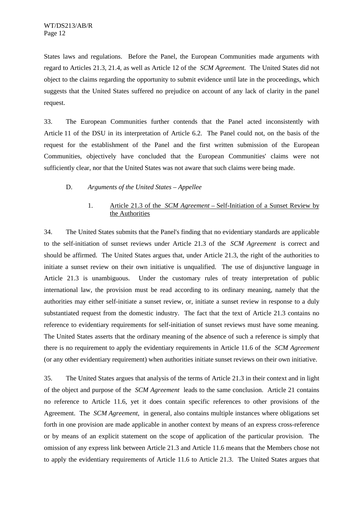States laws and regulations. Before the Panel, the European Communities made arguments with regard to Articles 21.3, 21.4, as well as Article 12 of the *SCM Agreement.* The United States did not object to the claims regarding the opportunity to submit evidence until late in the proceedings, which suggests that the United States suffered no prejudice on account of any lack of clarity in the panel request.

33. The European Communities further contends that the Panel acted inconsistently with Article 11 of the DSU in its interpretation of Article 6.2. The Panel could not, on the basis of the request for the establishment of the Panel and the first written submission of the European Communities, objectively have concluded that the European Communities' claims were not sufficiently clear, nor that the United States was not aware that such claims were being made.

#### D. *Arguments of the United States – Appellee*

## 1. Article 21.3 of the *SCM Agreement –* Self-Initiation of a Sunset Review by the Authorities

34. The United States submits that the Panel's finding that no evidentiary standards are applicable to the self-initiation of sunset reviews under Article 21.3 of the *SCM Agreement* is correct and should be affirmed. The United States argues that, under Article 21.3, the right of the authorities to initiate a sunset review on their own initiative is unqualified. The use of disjunctive language in Article 21.3 is unambiguous. Under the customary rules of treaty interpretation of public international law, the provision must be read according to its ordinary meaning, namely that the authorities may either self-initiate a sunset review, or, initiate a sunset review in response to a duly substantiated request from the domestic industry. The fact that the text of Article 21.3 contains no reference to evidentiary requirements for self-initiation of sunset reviews must have some meaning. The United States asserts that the ordinary meaning of the absence of such a reference is simply that there is no requirement to apply the evidentiary requirements in Article 11.6 of the *SCM Agreement* (or any other evidentiary requirement) when authorities initiate sunset reviews on their own initiative.

35. The United States argues that analysis of the terms of Article 21.3 in their context and in light of the object and purpose of the *SCM Agreement* leads to the same conclusion. Article 21 contains no reference to Article 11.6, yet it does contain specific references to other provisions of the Agreement. The *SCM Agreement*, in general, also contains multiple instances where obligations set forth in one provision are made applicable in another context by means of an express cross-reference or by means of an explicit statement on the scope of application of the particular provision. The omission of any express link between Article 21.3 and Article 11.6 means that the Members chose not to apply the evidentiary requirements of Article 11.6 to Article 21.3. The United States argues that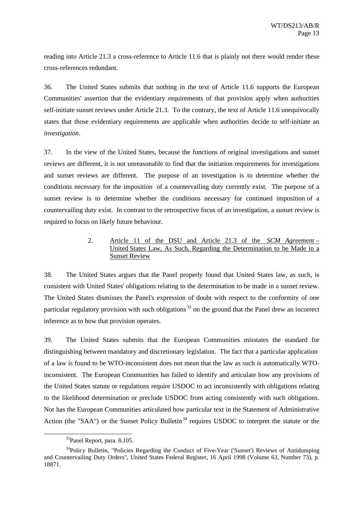reading into Article 21.3 a cross-reference to Article 11.6 that is plainly not there would render these cross-references redundant.

36. The United States submits that nothing in the text of Article 11.6 supports the European Communities' assertion that the evidentiary requirements of that provision apply when authorities self-initiate sunset reviews under Article 21.3. To the contrary, the text of Article 11.6 unequivocally states that those evidentiary requirements are applicable when authorities decide to self-initiate an *investigation*.

37. In the view of the United States, because the functions of original investigations and sunset reviews are different, it is not unreasonable to find that the initiation requirements for investigations and sunset reviews are different. The purpose of an investigation is to determine whether the conditions necessary for the imposition of a countervailing duty currently exist. The purpose of a sunset review is to determine whether the conditions necessary for continued imposition of a countervailing duty exist. In contrast to the retrospective focus of an investigation, a sunset review is required to focus on likely future behaviour.

#### 2. Article 11 of the DSU and Article 21.3 of the *SCM Agreement –* United States Law, As Such, Regarding the Determination to be Made in a Sunset Review

38. The United States argues that the Panel properly found that United States law, as such, is consistent with United States' obligations relating to the determination to be made in a sunset review. The United States dismisses the Panel's expression of doubt with respect to the conformity of one particular regulatory provision with such obligations  $33$  on the ground that the Panel drew an incorrect inference as to how that provision operates.

39. The United States submits that the European Communities misstates the standard for distinguishing between mandatory and discretionary legislation. The fact that a particular application of a law is found to be WTO-inconsistent does not mean that the law as such is automatically WTOinconsistent. The European Communities has failed to identify and articulate how any provisions of the United States statute or regulations require USDOC to act inconsistently with obligations relating to the likelihood determination or preclude USDOC from acting consistently with such obligations. Nor has the European Communities articulated how particular text in the Statement of Administrative Action (the "SAA") or the Sunset Policy Bulletin<sup>34</sup> requires USDOC to interpret the statute or the

<sup>33</sup>Panel Report, para. 8.105.

<sup>&</sup>lt;sup>34</sup>Policy Bulletin, "Policies Regarding the Conduct of Five-Year ('Sunset') Reviews of Antidumping and Countervailing Duty Orders", United States Federal Register, 16 April 1998 (Volume 63, Number 73), p. 18871.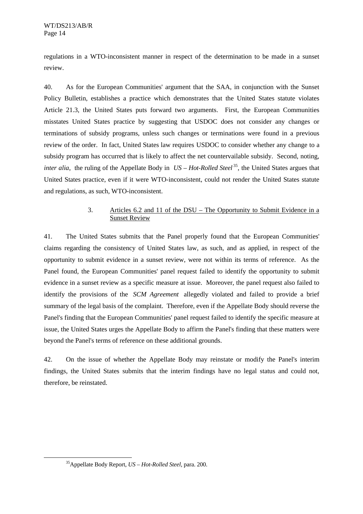regulations in a WTO-inconsistent manner in respect of the determination to be made in a sunset review.

40. As for the European Communities' argument that the SAA, in conjunction with the Sunset Policy Bulletin, establishes a practice which demonstrates that the United States statute violates Article 21.3, the United States puts forward two arguments. First, the European Communities misstates United States practice by suggesting that USDOC does not consider any changes or terminations of subsidy programs, unless such changes or terminations were found in a previous review of the order. In fact, United States law requires USDOC to consider whether any change to a subsidy program has occurred that is likely to affect the net countervailable subsidy. Second, noting, *inter alia*, the ruling of the Appellate Body in *US – Hot-Rolled Steel*<sup>35</sup>, the United States argues that United States practice, even if it were WTO-inconsistent, could not render the United States statute and regulations, as such, WTO-inconsistent.

## 3. Articles 6.2 and 11 of the DSU – The Opportunity to Submit Evidence in a Sunset Review

41. The United States submits that the Panel properly found that the European Communities' claims regarding the consistency of United States law, as such, and as applied, in respect of the opportunity to submit evidence in a sunset review, were not within its terms of reference. As the Panel found, the European Communities' panel request failed to identify the opportunity to submit evidence in a sunset review as a specific measure at issue. Moreover, the panel request also failed to identify the provisions of the *SCM Agreement* allegedly violated and failed to provide a brief summary of the legal basis of the complaint. Therefore, even if the Appellate Body should reverse the Panel's finding that the European Communities' panel request failed to identify the specific measure at issue, the United States urges the Appellate Body to affirm the Panel's finding that these matters were beyond the Panel's terms of reference on these additional grounds.

42. On the issue of whether the Appellate Body may reinstate or modify the Panel's interim findings, the United States submits that the interim findings have no legal status and could not, therefore, be reinstated.

<sup>35</sup>Appellate Body Report, *US – Hot-Rolled Steel*, para. 200.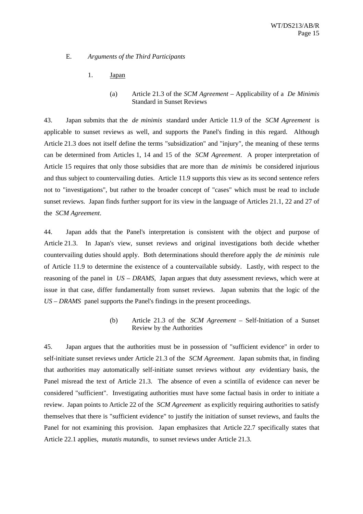#### E. *Arguments of the Third Participants*

- 1. Japan
	- (a) Article 21.3 of the *SCM Agreement* Applicability of a *De Minimis* Standard in Sunset Reviews

43. Japan submits that the *de minimis* standard under Article 11.9 of the *SCM Agreement* is applicable to sunset reviews as well, and supports the Panel's finding in this regard. Although Article 21.3 does not itself define the terms "subsidization" and "injury", the meaning of these terms can be determined from Articles 1, 14 and 15 of the *SCM Agreement*. A proper interpretation of Article 15 requires that only those subsidies that are more than *de minimis* be considered injurious and thus subject to countervailing duties. Article 11.9 supports this view as its second sentence refers not to "investigations", but rather to the broader concept of "cases" which must be read to include sunset reviews. Japan finds further support for its view in the language of Articles 21.1, 22 and 27 of the *SCM Agreement*.

44. Japan adds that the Panel's interpretation is consistent with the object and purpose of Article 21.3. In Japan's view, sunset reviews and original investigations both decide whether countervailing duties should apply. Both determinations should therefore apply the *de minimis* rule of Article 11.9 to determine the existence of a countervailable subsidy. Lastly, with respect to the reasoning of the panel in *US – DRAMS*, Japan argues that duty assessment reviews, which were at issue in that case, differ fundamentally from sunset reviews. Japan submits that the logic of the *US – DRAMS* panel supports the Panel's findings in the present proceedings.

> (b) Article 21.3 of the *SCM Agreement –* Self-Initiation of a Sunset Review by the Authorities

45. Japan argues that the authorities must be in possession of "sufficient evidence" in order to self-initiate sunset reviews under Article 21.3 of the *SCM Agreement*. Japan submits that, in finding that authorities may automatically self-initiate sunset reviews without *any* evidentiary basis, the Panel misread the text of Article 21.3. The absence of even a scintilla of evidence can never be considered "sufficient". Investigating authorities must have some factual basis in order to initiate a review. Japan points to Article 22 of the *SCM Agreement* as explicitly requiring authorities to satisfy themselves that there is "sufficient evidence" to justify the initiation of sunset reviews, and faults the Panel for not examining this provision. Japan emphasizes that Article 22.7 specifically states that Article 22.1 applies, *mutatis mutandis*, to sunset reviews under Article 21.3.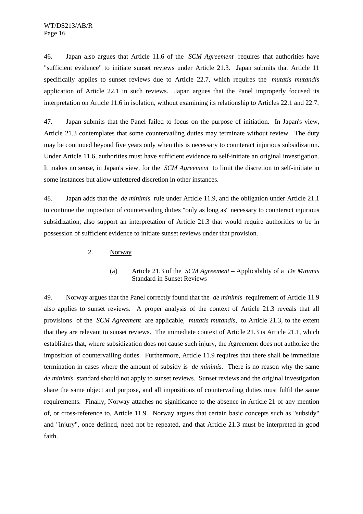46. Japan also argues that Article 11.6 of the *SCM Agreement* requires that authorities have "sufficient evidence" to initiate sunset reviews under Article 21.3. Japan submits that Article 11 specifically applies to sunset reviews due to Article 22.7, which requires the *mutatis mutandis* application of Article 22.1 in such reviews. Japan argues that the Panel improperly focused its interpretation on Article 11.6 in isolation, without examining its relationship to Articles 22.1 and 22.7.

47. Japan submits that the Panel failed to focus on the purpose of initiation. In Japan's view, Article 21.3 contemplates that some countervailing duties may terminate without review. The duty may be continued beyond five years only when this is necessary to counteract injurious subsidization. Under Article 11.6, authorities must have sufficient evidence to self-initiate an original investigation. It makes no sense, in Japan's view, for the *SCM Agreement* to limit the discretion to self-initiate in some instances but allow unfettered discretion in other instances.

48. Japan adds that the *de minimis* rule under Article 11.9, and the obligation under Article 21.1 to continue the imposition of countervailing duties "only as long as" necessary to counteract injurious subsidization, also support an interpretation of Article 21.3 that would require authorities to be in possession of sufficient evidence to initiate sunset reviews under that provision.

2. Norway

#### (a) Article 21.3 of the *SCM Agreement* – Applicability of a *De Minimis* Standard in Sunset Reviews

49. Norway argues that the Panel correctly found that the *de minimis* requirement of Article 11.9 also applies to sunset reviews. A proper analysis of the context of Article 21.3 reveals that all provisions of the *SCM Agreement* are applicable, *mutatis mutandis*, to Article 21.3, to the extent that they are relevant to sunset reviews. The immediate context of Article 21.3 is Article 21.1, which establishes that, where subsidization does not cause such injury, the Agreement does not authorize the imposition of countervailing duties. Furthermore, Article 11.9 requires that there shall be immediate termination in cases where the amount of subsidy is *de minimis.* There is no reason why the same *de minimis* standard should not apply to sunset reviews. Sunset reviews and the original investigation share the same object and purpose, and all impositions of countervailing duties must fulfil the same requirements. Finally, Norway attaches no significance to the absence in Article 21 of any mention of, or cross-reference to, Article 11.9. Norway argues that certain basic concepts such as "subsidy" and "injury", once defined, need not be repeated, and that Article 21.3 must be interpreted in good faith.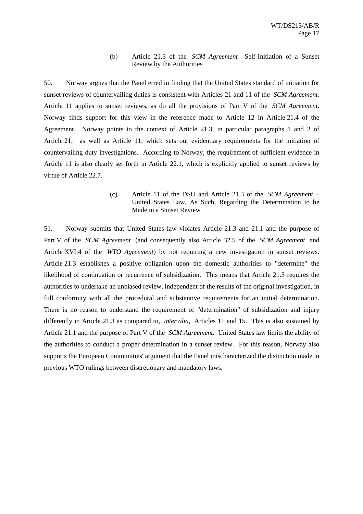(b) Article 21.3 of the *SCM Agreement –* Self-Initiation of a Sunset Review by the Authorities

50. Norway argues that the Panel erred in finding that the United States standard of initiation for sunset reviews of countervailing duties is consistent with Articles 21 and 11 of the *SCM Agreement.* Article 11 applies to sunset reviews, as do all the provisions of Part V of the *SCM Agreement*. Norway finds support for this view in the reference made to Article 12 in Article 21.4 of the Agreement. Norway points to the context of Article 21.3, in particular paragraphs 1 and 2 of Article 21; as well as Article 11, which sets out evidentiary requirements for the initiation of countervailing duty investigations. According to Norway, the requirement of sufficient evidence in Article 11 is also clearly set forth in Article 22.1, which is explicitly applied to sunset reviews by virtue of Article 22.7.

> (c) Article 11 of the DSU and Article 21.3 of the *SCM Agreement* – United States Law, As Such, Regarding the Determination to be Made in a Sunset Review

51. Norway submits that United States law violates Article 21.3 and 21.1 and the purpose of Part V of the *SCM Agreement* (and consequently also Article 32.5 of the *SCM Agreement* and Article XVI:4 of the *WTO Agreement*) by not requiring a new investigation in sunset reviews. Article 21.3 establishes a positive obligation upon the domestic authorities to "determine" the likelihood of continuation or recurrence of subsidization. This means that Article 21.3 requires the authorities to undertake an unbiased review, independent of the results of the original investigation, in full conformity with all the procedural and substantive requirements for an initial determination. There is no reason to understand the requirement of "determination" of subsidization and injury differently in Article 21.3 as compared to, *inter alia*, Articles 11 and 15. This is also sustained by Article 21.1 and the purpose of Part V of the *SCM Agreement*. United States law limits the ability of the authorities to conduct a proper determination in a sunset review. For this reason, Norway also supports the European Communities' argument that the Panel mischaracterized the distinction made in previous WTO rulings between discretionary and mandatory laws.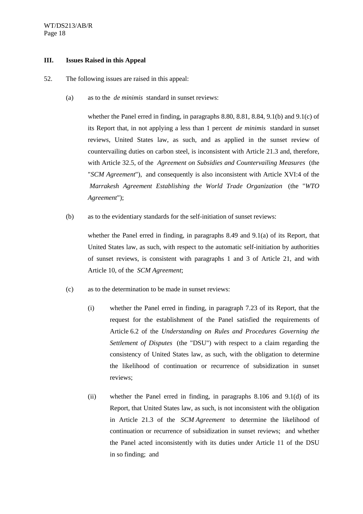#### **III. Issues Raised in this Appeal**

- 52. The following issues are raised in this appeal:
	- (a) as to the *de minimis* standard in sunset reviews:

whether the Panel erred in finding, in paragraphs 8.80, 8.81, 8.84, 9.1(b) and 9.1(c) of its Report that, in not applying a less than 1 percent *de minimis* standard in sunset reviews, United States law, as such, and as applied in the sunset review of countervailing duties on carbon steel, is inconsistent with Article 21.3 and, therefore, with Article 32.5, of the *Agreement on Subsidies and Countervailing Measures* (the "*SCM Agreement*"), and consequently is also inconsistent with Article XVI:4 of the *Marrakesh Agreement Establishing the World Trade Organization* (the "*WTO Agreement*");

(b) as to the evidentiary standards for the self-initiation of sunset reviews:

whether the Panel erred in finding, in paragraphs 8.49 and 9.1(a) of its Report, that United States law, as such, with respect to the automatic self-initiation by authorities of sunset reviews, is consistent with paragraphs 1 and 3 of Article 21, and with Article 10, of the *SCM Agreement*;

- (c) as to the determination to be made in sunset reviews:
	- (i) whether the Panel erred in finding, in paragraph 7.23 of its Report, that the request for the establishment of the Panel satisfied the requirements of Article 6.2 of the *Understanding on Rules and Procedures Governing the Settlement of Disputes* (the "DSU") with respect to a claim regarding the consistency of United States law, as such, with the obligation to determine the likelihood of continuation or recurrence of subsidization in sunset reviews;
	- (ii) whether the Panel erred in finding, in paragraphs 8.106 and 9.1(d) of its Report, that United States law, as such, is not inconsistent with the obligation in Article 21.3 of the *SCM Agreement* to determine the likelihood of continuation or recurrence of subsidization in sunset reviews; and whether the Panel acted inconsistently with its duties under Article 11 of the DSU in so finding; and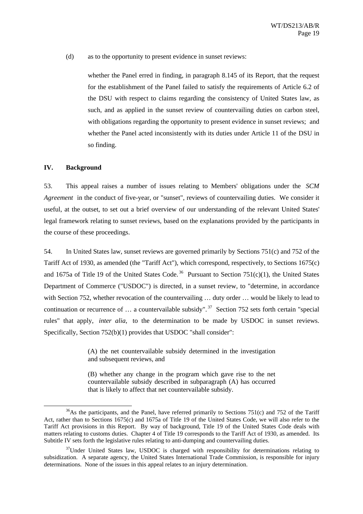(d) as to the opportunity to present evidence in sunset reviews:

whether the Panel erred in finding, in paragraph 8.145 of its Report, that the request for the establishment of the Panel failed to satisfy the requirements of Article 6.2 of the DSU with respect to claims regarding the consistency of United States law, as such, and as applied in the sunset review of countervailing duties on carbon steel, with obligations regarding the opportunity to present evidence in sunset reviews; and whether the Panel acted inconsistently with its duties under Article 11 of the DSU in so finding.

#### **IV. Background**

 $\overline{a}$ 

53. This appeal raises a number of issues relating to Members' obligations under the *SCM Agreement* in the conduct of five-year, or "sunset", reviews of countervailing duties. We consider it useful, at the outset, to set out a brief overview of our understanding of the relevant United States' legal framework relating to sunset reviews, based on the explanations provided by the participants in the course of these proceedings.

54. In United States law, sunset reviews are governed primarily by Sections 751(c) and 752 of the Tariff Act of 1930, as amended (the "Tariff Act"), which correspond, respectively, to Sections 1675(c) and 1675a of Title 19 of the United States Code.<sup>36</sup> Pursuant to Section 751(c)(1), the United States Department of Commerce ("USDOC") is directed, in a sunset review, to "determine, in accordance with Section 752, whether revocation of the countervailing ... duty order ... would be likely to lead to continuation or recurrence of  $\ldots$  a countervailable subsidy".<sup>37</sup> Section 752 sets forth certain "special" rules" that apply, *inter alia*, to the determination to be made by USDOC in sunset reviews. Specifically, Section 752(b)(1) provides that USDOC "shall consider":

> (A) the net countervailable subsidy determined in the investigation and subsequent reviews, and

> (B) whether any change in the program which gave rise to the net countervailable subsidy described in subparagraph (A) has occurred that is likely to affect that net countervailable subsidy.

 $36\text{As}$  the participants, and the Panel, have referred primarily to Sections 751(c) and 752 of the Tariff Act, rather than to Sections 1675(c) and 1675a of Title 19 of the United States Code, we will also refer to the Tariff Act provisions in this Report. By way of background, Title 19 of the United States Code deals with matters relating to customs duties. Chapter 4 of Title 19 corresponds to the Tariff Act of 1930, as amended. Its Subtitle IV sets forth the legislative rules relating to anti-dumping and countervailing duties.

 $37$ Under United States law, USDOC is charged with responsibility for determinations relating to subsidization. A separate agency, the United States International Trade Commission, is responsible for injury determinations. None of the issues in this appeal relates to an injury determination.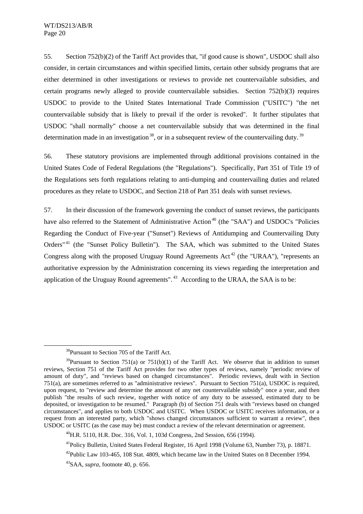55. Section 752(b)(2) of the Tariff Act provides that, "if good cause is shown", USDOC shall also consider, in certain circumstances and within specified limits, certain other subsidy programs that are either determined in other investigations or reviews to provide net countervailable subsidies, and certain programs newly alleged to provide countervailable subsidies. Section 752(b)(3) requires USDOC to provide to the United States International Trade Commission ("USITC") "the net countervailable subsidy that is likely to prevail if the order is revoked". It further stipulates that USDOC "shall normally" choose a net countervailable subsidy that was determined in the final determination made in an investigation<sup>38</sup>, or in a subsequent review of the countervailing duty.<sup>39</sup>

56. These statutory provisions are implemented through additional provisions contained in the United States Code of Federal Regulations (the "Regulations"). Specifically, Part 351 of Title 19 of the Regulations sets forth regulations relating to anti-dumping and countervailing duties and related procedures as they relate to USDOC, and Section 218 of Part 351 deals with sunset reviews.

57. In their discussion of the framework governing the conduct of sunset reviews, the participants have also referred to the Statement of Administrative Action<sup>40</sup> (the "SAA") and USDOC's "Policies Regarding the Conduct of Five-year ("Sunset") Reviews of Antidumping and Countervailing Duty Orders<sup>"41</sup> (the "Sunset Policy Bulletin"). The SAA, which was submitted to the United States Congress along with the proposed Uruguay Round Agreements Act<sup>42</sup> (the "URAA"), "represents an authoritative expression by the Administration concerning its views regarding the interpretation and application of the Uruguay Round agreements".<sup>43</sup> According to the URAA, the SAA is to be:

 $\overline{\phantom{a}}$ 

<sup>&</sup>lt;sup>38</sup>Pursuant to Section 705 of the Tariff Act.

 $39$ Pursuant to Section 751(a) or 751(b)(1) of the Tariff Act. We observe that in addition to sunset reviews, Section 751 of the Tariff Act provides for two other types of reviews, namely "periodic review of amount of duty", and "reviews based on changed circumstances". Periodic reviews, dealt with in Section 751(a), are sometimes referred to as "administrative reviews". Pursuant to Section 751(a), USDOC is required, upon request, to "review and determine the amount of any net countervailable subsidy" once a year, and then publish "the results of such review, together with notice of any duty to be assessed, estimated duty to be deposited, or investigation to be resumed." Paragraph (b) of Section 751 deals with "reviews based on changed circumstances", and applies to both USDOC and USITC. When USDOC or USITC receives information, or a request from an interested party, which "shows changed circumstances sufficient to warrant a review", then USDOC or USITC (as the case may be) must conduct a review of the relevant determination or agreement.

<sup>40</sup>H.R. 5110, H.R. Doc. 316, Vol. 1, 103d Congress, 2nd Session, 656 (1994).

<sup>41</sup>Policy Bulletin, United States Federal Register, 16 April 1998 (Volume 63, Number 73), p. 18871.

<sup>&</sup>lt;sup>42</sup>Public Law 103-465, 108 Stat. 4809, which became law in the United States on 8 December 1994.

<sup>43</sup>SAA, *supra*, footnote 40, p. 656.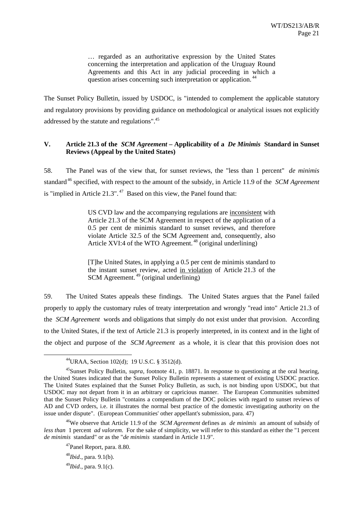… regarded as an authoritative expression by the United States concerning the interpretation and application of the Uruguay Round Agreements and this Act in any judicial proceeding in which a question arises concerning such interpretation or application. <sup>44</sup>

The Sunset Policy Bulletin, issued by USDOC, is "intended to complement the applicable statutory and regulatory provisions by providing guidance on methodological or analytical issues not explicitly addressed by the statute and regulations".<sup>45</sup>

### **V. Article 21.3 of the** *SCM Agreement –* **Applicability of a** *De Minimis* **Standard in Sunset Reviews (Appeal by the United States)**

58. The Panel was of the view that, for sunset reviews, the "less than 1 percent" *de minimis* standard<sup>46</sup> specified, with respect to the amount of the subsidy, in Article 11.9 of the *SCM Agreement* is "implied in Article  $21.3"$ .<sup>47</sup> Based on this view, the Panel found that:

> US CVD law and the accompanying regulations are inconsistent with Article 21.3 of the SCM Agreement in respect of the application of a 0.5 per cent de minimis standard to sunset reviews, and therefore violate Article 32.5 of the SCM Agreement and, consequently, also Article XVI:4 of the WTO Agreement.<sup>48</sup> (original underlining)

> [T]he United States, in applying a 0.5 per cent de minimis standard to the instant sunset review, acted in violation of Article 21.3 of the SCM Agreement. <sup>49</sup> (original underlining)

59. The United States appeals these findings. The United States argues that the Panel failed properly to apply the customary rules of treaty interpretation and wrongly "read into" Article 21.3 of the *SCM Agreement* words and obligations that simply do not exist under that provision. According to the United States, if the text of Article 21.3 is properly interpreted, in its context and in the light of the object and purpose of the *SCM Agreement* as a whole, it is clear that this provision does not

 $\overline{\phantom{a}}$ 

<sup>49</sup>*Ibid*., para. 9.1(c).

<sup>44</sup>URAA, Section 102(d); 19 U.S.C. § 3512(d).

<sup>45</sup>Sunset Policy Bulletin, *supra*, footnote 41, p. 18871. In response to questioning at the oral hearing, the United States indicated that the Sunset Policy Bulletin represents a statement of existing USDOC practice. The United States explained that the Sunset Policy Bulletin, as such, is not binding upon USDOC, but that USDOC may not depart from it in an arbitrary or capricious manner. The European Communities submitted that the Sunset Policy Bulletin "contains a compendium of the DOC policies with regard to sunset reviews of AD and CVD orders, i.e. it illustrates the normal best practice of the domestic investigating authority on the issue under dispute". (European Communities' other appellant's submission, para. 47)

<sup>46</sup>We observe that Article 11.9 of the *SCM Agreement* defines as *de minimis* an amount of subsidy of *less than* 1 percent *ad valorem.* For the sake of simplicity, we will refer to this standard as either the "1 percent *de minimis* standard" or as the "*de minimis* standard in Article 11.9".

<sup>47</sup>Panel Report, para. 8.80.

<sup>48</sup>*Ibid*., para. 9.1(b).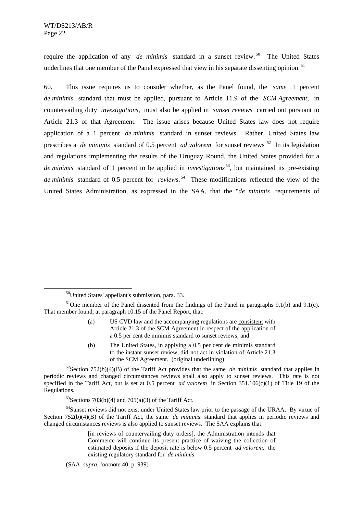l

require the application of any *de minimis* standard in a sunset review.<sup>50</sup> The United States underlines that one member of the Panel expressed that view in his separate dissenting opinion.<sup>51</sup>

60. This issue requires us to consider whether, as the Panel found, the *same* 1 percent *de minimis* standard that must be applied, pursuant to Article 11.9 of the *SCM Agreement*, in countervailing duty *investigations*, must also be applied in *sunset reviews* carried out pursuant to Article 21.3 of that Agreement. The issue arises because United States law does not require application of a 1 percent *de minimis* standard in sunset reviews. Rather, United States law prescribes a *de minimis* standard of 0.5 percent *ad valorem* for sunset reviews <sup>52</sup> In its legislation and regulations implementing the results of the Uruguay Round, the United States provided for a *de minimis* standard of 1 percent to be applied in *investigations* <sup>53</sup>, but maintained its pre-existing *de minimis* standard of 0.5 percent for *reviews*. <sup>54</sup> These modifications reflected the view of the United States Administration, as expressed in the SAA, that the "*de minimis* requirements of

- (a) US CVD law and the accompanying regulations are consistent with Article 21.3 of the SCM Agreement in respect of the application of a 0.5 per cent de minimis standard to sunset reviews; and
- (b) The United States, in applying a 0.5 per cent de minimis standard to the instant sunset review, did not act in violation of Article 21.3 of the SCM Agreement. (original underlining)

<sup>54</sup>Sunset reviews did not exist under United States law prior to the passage of the URAA. By virtue of Section 752(b)(4)(B) of the Tariff Act, the same *de minimis* standard that applies in periodic reviews and changed circumstances reviews is also applied to sunset reviews. The SAA explains that:

> [in reviews of countervailing duty orders], the Administration intends that Commerce will continue its present practice of waiving the collection of estimated deposits if the deposit rate is below 0.5 percent *ad valorem*, the existing regulatory standard for *de minimis*.

(SAA, *supra*, footnote 40, p. 939)

<sup>50</sup>United States' appellant's submission, para. 33.

<sup>&</sup>lt;sup>51</sup>One member of the Panel dissented from the findings of the Panel in paragraphs 9.1(b) and 9.1(c). That member found, at paragraph 10.15 of the Panel Report, that:

 $52$ Section 752(b)(4)(B) of the Tariff Act provides that the same *de minimis* standard that applies in periodic reviews and changed circumstances reviews shall also apply to sunset reviews. This rate is not specified in the Tariff Act, but is set at 0.5 percent *ad valorem* in Section 351.106(c)(1) of Title 19 of the Regulations.

 $53$ Sections 703(b)(4) and 705(a)(3) of the Tariff Act.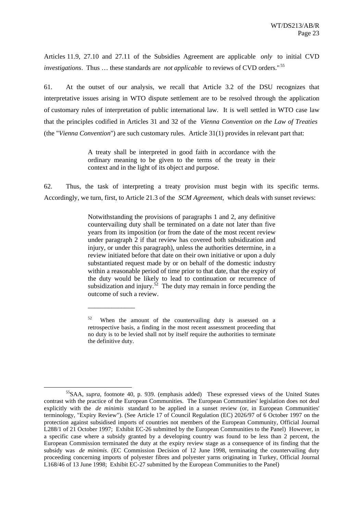Articles 11.9, 27.10 and 27.11 of the Subsidies Agreement are applicable *only* to initial CVD *investigations*. Thus … these standards are *not applicable* to reviews of CVD orders." <sup>55</sup>

61. At the outset of our analysis, we recall that Article 3.2 of the DSU recognizes that interpretative issues arising in WTO dispute settlement are to be resolved through the application of customary rules of interpretation of public international law. It is well settled in WTO case law that the principles codified in Articles 31 and 32 of the *Vienna Convention on the Law of Treaties* (the "*Vienna Convention*") are such customary rules. Article 31(1) provides in relevant part that:

> A treaty shall be interpreted in good faith in accordance with the ordinary meaning to be given to the terms of the treaty in their context and in the light of its object and purpose.

62. Thus, the task of interpreting a treaty provision must begin with its specific terms. Accordingly, we turn, first, to Article 21.3 of the *SCM Agreement*, which deals with sunset reviews:

> Notwithstanding the provisions of paragraphs 1 and 2, any definitive countervailing duty shall be terminated on a date not later than five years from its imposition (or from the date of the most recent review under paragraph 2 if that review has covered both subsidization and injury, or under this paragraph), unless the authorities determine, in a review initiated before that date on their own initiative or upon a duly substantiated request made by or on behalf of the domestic industry within a reasonable period of time prior to that date, that the expiry of the duty would be likely to lead to continuation or recurrence of subsidization and injury.<sup>52</sup> The duty may remain in force pending the outcome of such a review.

\_\_\_\_\_\_\_\_\_\_\_\_\_\_

<sup>52</sup> When the amount of the countervailing duty is assessed on a retrospective basis, a finding in the most recent assessment proceeding that no duty is to be levied shall not by itself require the authorities to terminate the definitive duty.

l <sup>55</sup>SAA, *supra*, footnote 40, p. 939. (emphasis added) These expressed views of the United States contrast with the practice of the European Communities. The European Communities' legislation does not deal explicitly with the *de minimis* standard to be applied in a sunset review (or, in European Communities' terminology, "Expiry Review"). (See Article 17 of Council Regulation (EC) 2026/97 of 6 October 1997 on the protection against subsidised imports of countries not members of the European Community, Official Journal L288/1 of 21 October 1997; Exhibit EC-26 submitted by the European Communities to the Panel) However, in a specific case where a subsidy granted by a developing country was found to be less than 2 percent, the European Commission terminated the duty at the expiry review stage as a consequence of its finding that the subsidy was *de minimis*. (EC Commission Decision of 12 June 1998, terminating the countervailing duty proceeding concerning imports of polyester fibres and polyester yarns originating in Turkey, Official Journal L168/46 of 13 June 1998; Exhibit EC-27 submitted by the European Communities to the Panel)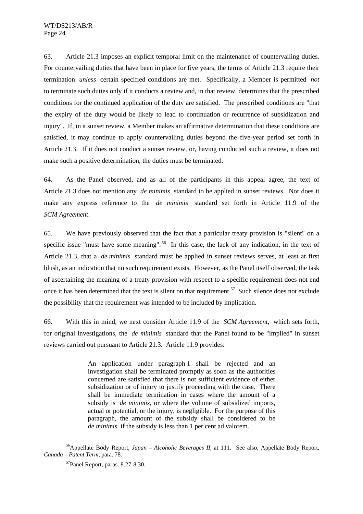63. Article 21.3 imposes an explicit temporal limit on the maintenance of countervailing duties. For countervailing duties that have been in place for five years, the terms of Article 21.3 require their termination *unless* certain specified conditions are met. Specifically, a Member is permitted *not* to terminate such duties only if it conducts a review and, in that review, determines that the prescribed conditions for the continued application of the duty are satisfied. The prescribed conditions are "that the expiry of the duty would be likely to lead to continuation or recurrence of subsidization and injury". If, in a sunset review, a Member makes an affirmative determination that these conditions are satisfied, it may continue to apply countervailing duties beyond the five-year period set forth in Article 21.3. If it does not conduct a sunset review, or, having conducted such a review, it does not make such a positive determination, the duties must be terminated.

64. As the Panel observed, and as all of the participants in this appeal agree, the text of Article 21.3 does not mention any *de minimis* standard to be applied in sunset reviews. Nor does it make any express reference to the *de minimis* standard set forth in Article 11.9 of the *SCM Agreement*.

65. We have previously observed that the fact that a particular treaty provision is "silent" on a specific issue "must have some meaning".<sup>56</sup> In this case, the lack of any indication, in the text of Article 21.3, that a *de minimis* standard must be applied in sunset reviews serves, at least at first blush, as an indication that no such requirement exists. However, as the Panel itself observed, the task of ascertaining the meaning of a treaty provision with respect to a specific requirement does not end once it has been determined that the text is silent on that requirement.<sup>57</sup> Such silence does not exclude the possibility that the requirement was intended to be included by implication.

66. With this in mind, we next consider Article 11.9 of the *SCM Agreement*, which sets forth, for original investigations, the *de minimis* standard that the Panel found to be "implied" in sunset reviews carried out pursuant to Article 21.3. Article 11.9 provides:

> An application under paragraph 1 shall be rejected and an investigation shall be terminated promptly as soon as the authorities concerned are satisfied that there is not sufficient evidence of either subsidization or of injury to justify proceeding with the case. There shall be immediate termination in cases where the amount of a subsidy is *de minimis*, or where the volume of subsidized imports, actual or potential, or the injury, is negligible. For the purpose of this paragraph, the amount of the subsidy shall be considered to be *de minimis* if the subsidy is less than 1 per cent ad valorem.

 $\overline{\phantom{a}}$ <sup>56</sup>Appellate Body Report, *Japan – Alcoholic Beverages II*, at 111. See also, Appellate Body Report, *Canada – Patent Term*, para. 78.

<sup>57</sup>Panel Report, paras. 8.27-8.30.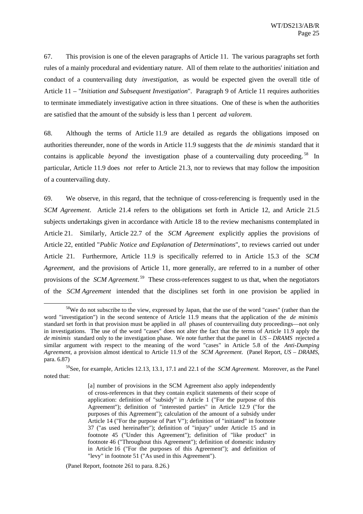67. This provision is one of the eleven paragraphs of Article 11. The various paragraphs set forth rules of a mainly procedural and evidentiary nature. All of them relate to the authorities' initiation and conduct of a countervailing duty *investigation*, as would be expected given the overall title of Article 11 – "*Initiation and Subsequent Investigation*". Paragraph 9 of Article 11 requires authorities to terminate immediately investigative action in three situations. One of these is when the authorities are satisfied that the amount of the subsidy is less than 1 percent *ad valorem*.

68. Although the terms of Article 11.9 are detailed as regards the obligations imposed on authorities thereunder, none of the words in Article 11.9 suggests that the *de minimis* standard that it contains is applicable *beyond* the investigation phase of a countervailing duty proceeding.<sup>58</sup> In particular, Article 11.9 does *not* refer to Article 21.3, nor to reviews that may follow the imposition of a countervailing duty.

69. We observe, in this regard, that the technique of cross-referencing is frequently used in the *SCM Agreement*. Article 21.4 refers to the obligations set forth in Article 12, and Article 21.5 subjects undertakings given in accordance with Article 18 to the review mechanisms contemplated in Article 21. Similarly, Article 22.7 of the *SCM Agreement* explicitly applies the provisions of Article 22, entitled "*Public Notice and Explanation of Determinations*", to reviews carried out under Article 21. Furthermore, Article 11.9 is specifically referred to in Article 15.3 of the *SCM Agreement*, and the provisions of Article 11, more generally, are referred to in a number of other provisions of the *SCM Agreement*. <sup>59</sup> These cross-references suggest to us that, when the negotiators of the *SCM Agreement* intended that the disciplines set forth in one provision be applied in

 $\overline{\phantom{a}}$ 

<sup>&</sup>lt;sup>58</sup>We do not subscribe to the view, expressed by Japan, that the use of the word "cases" (rather than the word "investigation") in the second sentence of Article 11.9 means that the application of the *de minimis* standard set forth in that provision must be applied in *all* phases of countervailing duty proceedings—not only in investigations. The use of the word "cases" does not alter the fact that the terms of Article 11.9 apply the *de minimis* standard only to the investigation phase. We note further that the panel in *US – DRAMS* rejected a similar argument with respect to the meaning of the word "cases" in Article 5.8 of the *Anti-Dumping Agreement*, a provision almost identical to Article 11.9 of the *SCM Agreement*.(Panel Report, *US – DRAMS*, para. 6.87)

<sup>59</sup>See, for example, Articles 12.13, 13.1, 17.1 and 22.1 of the *SCM Agreement*. Moreover, as the Panel noted that:

<sup>[</sup>a] number of provisions in the SCM Agreement also apply independently of cross-references in that they contain explicit statements of their scope of application: definition of "subsidy" in Article 1 ("For the purpose of this Agreement"); definition of "interested parties" in Article 12.9 ("for the purposes of this Agreement"); calculation of the amount of a subsidy under Article 14 ("For the purpose of Part V"); definition of "initiated" in footnote 37 ("as used hereinafter"); definition of "injury" under Article 15 and in footnote 45 ("Under this Agreement"); definition of "like product" in footnote 46 ("Throughout this Agreement"); definition of domestic industry in Article 16 ("For the purposes of this Agreement"); and definition of "levy" in footnote 51 ("As used in this Agreement").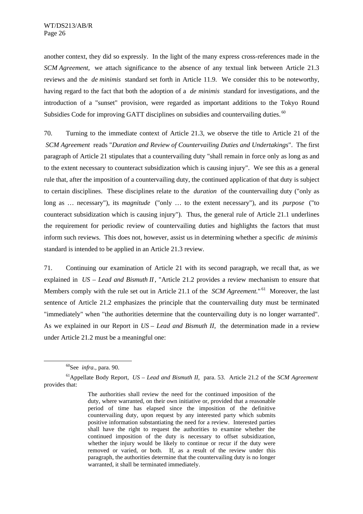another context, they did so expressly. In the light of the many express cross-references made in the *SCM Agreement,* we attach significance to the absence of any textual link between Article 21.3 reviews and the *de minimis* standard set forth in Article 11.9. We consider this to be noteworthy, having regard to the fact that both the adoption of a *de minimis* standard for investigations, and the introduction of a "sunset" provision, were regarded as important additions to the Tokyo Round Subsidies Code for improving GATT disciplines on subsidies and countervailing duties. <sup>60</sup>

70. Turning to the immediate context of Article 21.3, we observe the title to Article 21 of the *SCM Agreement* reads "*Duration and Review of Countervailing Duties and Undertakings*". The first paragraph of Article 21 stipulates that a countervailing duty "shall remain in force only as long as and to the extent necessary to counteract subsidization which is causing injury". We see this as a general rule that, after the imposition of a countervailing duty, the continued application of that duty is subject to certain disciplines. These disciplines relate to the *duration* of the countervailing duty ("only as long as … necessary"), its *magnitude* ("only … to the extent necessary"), and its *purpose* ("to counteract subsidization which is causing injury"). Thus, the general rule of Article 21.1 underlines the requirement for periodic review of countervailing duties and highlights the factors that must inform such reviews. This does not, however, assist us in determining whether a specific *de minimis* standard is intended to be applied in an Article 21.3 review.

71. Continuing our examination of Article 21 with its second paragraph, we recall that, as we explained in *US – Lead and Bismuth II*, "Article 21.2 provides a review mechanism to ensure that Members comply with the rule set out in Article 21.1 of the *SCM Agreement*."<sup>61</sup> Moreover, the last sentence of Article 21.2 emphasizes the principle that the countervailing duty must be terminated "immediately" when "the authorities determine that the countervailing duty is no longer warranted". As we explained in our Report in *US – Lead and Bismuth II*, the determination made in a review under Article 21.2 must be a meaningful one:

 $\overline{a}$ 

<sup>60</sup>See *infra*., para. 90.

<sup>61</sup>Appellate Body Report, *US – Lead and Bismuth II*, para. 53. Article 21.2 of the *SCM Agreement* provides that:

The authorities shall review the need for the continued imposition of the duty, where warranted, on their own initiative or, provided that a reasonable period of time has elapsed since the imposition of the definitive countervailing duty, upon request by any interested party which submits positive information substantiating the need for a review. Interested parties shall have the right to request the authorities to examine whether the continued imposition of the duty is necessary to offset subsidization, whether the injury would be likely to continue or recur if the duty were removed or varied, or both. If, as a result of the review under this paragraph, the authorities determine that the countervailing duty is no longer warranted, it shall be terminated immediately.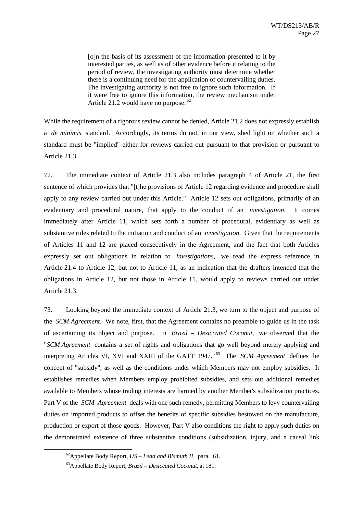[o]n the basis of its assessment of the information presented to it by interested parties, as well as of other evidence before it relating to the period of review, the investigating authority must determine whether there is a continuing need for the application of countervailing duties. The investigating authority is not free to ignore such information. If it were free to ignore this information, the review mechanism under Article 21.2 would have no purpose. <sup>62</sup>

While the requirement of a rigorous review cannot be denied, Article 21.2 does not expressly establish a *de minimis* standard. Accordingly, its terms do not, in our view, shed light on whether such a standard must be "implied" either for reviews carried out pursuant to that provision or pursuant to Article 21.3.

72. The immediate context of Article 21.3 also includes paragraph 4 of Article 21, the first sentence of which provides that "[t]he provisions of Article 12 regarding evidence and procedure shall apply to any review carried out under this Article." Article 12 sets out obligations, primarily of an evidentiary and procedural nature, that apply to the conduct of an *investigation*. It comes immediately after Article 11, which sets forth a number of procedural, evidentiary as well as substantive rules related to the initiation and conduct of an *investigation*. Given that the requirements of Articles 11 and 12 are placed consecutively in the Agreement, and the fact that both Articles expressly set out obligations in relation to *investigations*, we read the express reference in Article 21.4 to Article 12, but not to Article 11, as an indication that the drafters intended that the obligations in Article 12, but not those in Article 11, would apply to reviews carried out under Article 21.3.

73. Looking beyond the immediate context of Article 21.3, we turn to the object and purpose of the *SCM Agreement*. We note, first, that the Agreement contains no preamble to guide us in the task of ascertaining its object and purpose. In *Brazil – Desiccated Coconut*, we observed that the "*SCM Agreement* contains a set of rights and obligations that go well beyond merely applying and interpreting Articles VI, XVI and XXIII of the GATT 1947." <sup>63</sup> The *SCM Agreement* defines the concept of "subsidy", as well as the conditions under which Members may not employ subsidies. It establishes remedies when Members employ prohibited subsidies, and sets out additional remedies available to Members whose trading interests are harmed by another Member's subsidization practices. Part V of the *SCM Agreement* deals with one such remedy, permitting Members to levy countervailing duties on imported products to offset the benefits of specific subsidies bestowed on the manufacture, production or export of those goods. However, Part V also conditions the right to apply such duties on the demonstrated existence of three substantive conditions (subsidization, injury, and a causal link

<sup>62</sup>Appellate Body Report, *US – Lead and Bismuth II*, para. 61.

<sup>63</sup>Appellate Body Report, *Brazil – Desiccated Coconut*, at 181.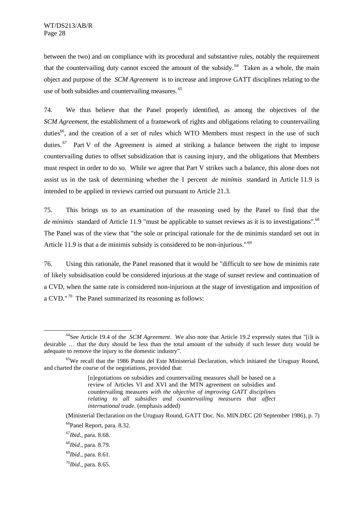between the two) and on compliance with its procedural and substantive rules, notably the requirement that the countervailing duty cannot exceed the amount of the subsidy.  $64$  Taken as a whole, the main object and purpose of the *SCM Agreement* is to increase and improve GATT disciplines relating to the use of both subsidies and countervailing measures.<sup>65</sup>

74. We thus believe that the Panel properly identified, as among the objectives of the *SCM Agreement*, the establishment of a framework of rights and obligations relating to countervailing duties<sup>66</sup>, and the creation of a set of rules which WTO Members must respect in the use of such duties.  $67$  Part V of the Agreement is aimed at striking a balance between the right to impose countervailing duties to offset subsidization that is causing injury, and the obligations that Members must respect in order to do so. While we agree that Part V strikes such a balance, this alone does not assist us in the task of determining whether the 1 percent *de minimis* standard in Article 11.9 is intended to be applied in reviews carried out pursuant to Article 21.3.

75. This brings us to an examination of the reasoning used by the Panel to find that the *de minimis* standard of Article 11.9 "must be applicable to sunset reviews as it is to investigations".<sup>68</sup> The Panel was of the view that "the sole or principal rationale for the de minimis standard set out in Article 11.9 is that a de minimis subsidy is considered to be non-injurious."<sup>69</sup>

76. Using this rationale, the Panel reasoned that it would be "difficult to see how de minimis rate of likely subsidisation could be considered injurious at the stage of sunset review and continuation of a CVD, when the same rate is considered non-injurious at the stage of investigation and imposition of a CVD." $70$  The Panel summarized its reasoning as follows:

(Ministerial Declaration on the Uruguay Round, GATT Doc. No. MIN.DEC (20 September 1986), p. 7) <sup>66</sup>Panel Report, para. 8.32.

<sup>64</sup>See Article 19.4 of the *SCM Agreement*. We also note that Article 19.2 expressly states that "[i]t is desirable … that the duty should be less than the total amount of the subsidy if such lesser duty would be adequate to remove the injury to the domestic industry".

<sup>&</sup>lt;sup>65</sup>We recall that the 1986 Punta del Este Ministerial Declaration, which initiated the Uruguay Round, and charted the course of the negotiations, provided that:

<sup>[</sup>n]egotiations on subsidies and countervailing measures shall be based on a review of Articles VI and XVI and the MTN agreement on subsidies and countervailing measures *with the objective of improving GATT disciplines relating to all subsidies and countervailing measures that affect international trade*. (emphasis added)

<sup>67</sup>*Ibid*., para. 8.68.

<sup>68</sup>*Ibid*., para. 8.79.

<sup>69</sup>*Ibid*., para. 8.61.

<sup>70</sup>*Ibid*., para. 8.65.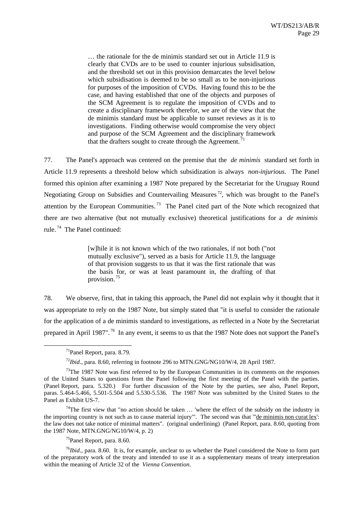… the rationale for the de minimis standard set out in Article 11.9 is clearly that CVDs are to be used to counter injurious subsidisation, and the threshold set out in this provision demarcates the level below which subsidisation is deemed to be so small as to be non-injurious for purposes of the imposition of CVDs. Having found this to be the case, and having established that one of the objects and purposes of the SCM Agreement is to regulate the imposition of CVDs and to create a disciplinary framework therefor, we are of the view that the de minimis standard must be applicable to sunset reviews as it is to investigations. Finding otherwise would compromise the very object and purpose of the SCM Agreement and the disciplinary framework that the drafters sought to create through the Agreement.<sup> $\frac{7}{10}$ </sup>

77. The Panel's approach was centered on the premise that the *de minimis* standard set forth in Article 11.9 represents a threshold below which subsidization is always *non-injurious*. The Panel formed this opinion after examining a 1987 Note prepared by the Secretariat for the Uruguay Round Negotiating Group on Subsidies and Countervailing Measures<sup>72</sup>, which was brought to the Panel's attention by the European Communities.<sup>73</sup> The Panel cited part of the Note which recognized that there are two alternative (but not mutually exclusive) theoretical justifications for a *de minimis* rule. <sup>74</sup> The Panel continued:

> [w]hile it is not known which of the two rationales, if not both ("not mutually exclusive"), served as a basis for Article 11.9, the language of that provision suggests to us that it was the first rationale that was the basis for, or was at least paramount in, the drafting of that provision. <sup>75</sup>

78. We observe, first, that in taking this approach, the Panel did not explain why it thought that it was appropriate to rely on the 1987 Note, but simply stated that "it is useful to consider the rationale for the application of a de minimis standard to investigations, as reflected in a Note by the Secretariat prepared in April 1987". <sup>76</sup> In any event, it seems to us that the 1987 Note does not support the Panel's

 $\overline{\phantom{a}}$ 

<sup>75</sup>Panel Report, para. 8.60.

<sup>76</sup>*Ibid*., para. 8.60. It is, for example, unclear to us whether the Panel considered the Note to form part of the preparatory work of the treaty and intended to use it as a supplementary means of treaty interpretation within the meaning of Article 32 of the *Vienna Convention*.

 $71$ Panel Report, para. 8.79.

<sup>72</sup>*Ibid*., para. 8.60, referring in footnote 296 to MTN.GNG/NG10/W/4, 28 April 1987.

 $<sup>73</sup>$ The 1987 Note was first referred to by the European Communities in its comments on the responses</sup> of the United States to questions from the Panel following the first meeting of the Panel with the parties. (Panel Report, para. 5.320.) For further discussion of the Note by the parties, see also, Panel Report, paras. 5.464-5.466, 5.501-5.504 and 5.530-5.536. The 1987 Note was submitted by the United States to the Panel as Exhibit US-7.

 $74$ The first view that "no action should be taken  $\ldots$  'where the effect of the subsidy on the industry in the importing country is not such as to cause material injury'". The second was that "'de minimis non curat lex': the law does not take notice of minimal matters". (original underlining) (Panel Report, para. 8.60, quoting from the 1987 Note, MTN.GNG/NG10/W/4, p. 2)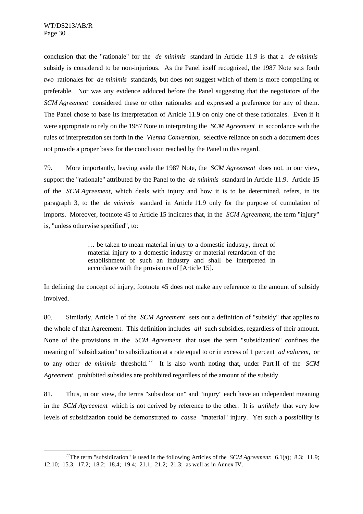l

conclusion that the "rationale" for the *de minimis* standard in Article 11.9 is that a *de minimis* subsidy is considered to be non-injurious. As the Panel itself recognized, the 1987 Note sets forth *two* rationales for *de minimis* standards, but does not suggest which of them is more compelling or preferable. Nor was any evidence adduced before the Panel suggesting that the negotiators of the *SCM Agreement* considered these or other rationales and expressed a preference for any of them. The Panel chose to base its interpretation of Article 11.9 on only one of these rationales. Even if it were appropriate to rely on the 1987 Note in interpreting the *SCM Agreement* in accordance with the rules of interpretation set forth in the *Vienna Convention*, selective reliance on such a document does not provide a proper basis for the conclusion reached by the Panel in this regard.

79. More importantly, leaving aside the 1987 Note, the *SCM Agreement* does not, in our view, support the "rationale" attributed by the Panel to the *de minimis* standard in Article 11.9. Article 15 of the *SCM Agreement*, which deals with injury and how it is to be determined, refers, in its paragraph 3, to the *de minimis* standard in Article 11.9 only for the purpose of cumulation of imports. Moreover, footnote 45 to Article 15 indicates that, in the *SCM Agreement*, the term "injury" is, "unless otherwise specified", to:

> … be taken to mean material injury to a domestic industry, threat of material injury to a domestic industry or material retardation of the establishment of such an industry and shall be interpreted in accordance with the provisions of [Article 15].

In defining the concept of injury, footnote 45 does not make any reference to the amount of subsidy involved.

80. Similarly, Article 1 of the *SCM Agreement* sets out a definition of "subsidy" that applies to the whole of that Agreement. This definition includes *all* such subsidies, regardless of their amount. None of the provisions in the *SCM Agreement* that uses the term "subsidization" confines the meaning of "subsidization" to subsidization at a rate equal to or in excess of 1 percent *ad valorem*, or to any other *de minimis* threshold. <sup>77</sup> It is also worth noting that, under Part II of the *SCM Agreement*, prohibited subsidies are prohibited regardless of the amount of the subsidy.

81. Thus, in our view, the terms "subsidization" and "injury" each have an independent meaning in the *SCM Agreement* which is not derived by reference to the other. It is *unlikely* that very low levels of subsidization could be demonstrated to *cause* "material" injury. Yet such a possibility is

<sup>77</sup>The term "subsidization" is used in the following Articles of the *SCM Agreement*: 6.1(a); 8.3; 11.9; 12.10; 15.3; 17.2; 18.2; 18.4; 19.4; 21.1; 21.2; 21.3; as well as in Annex IV.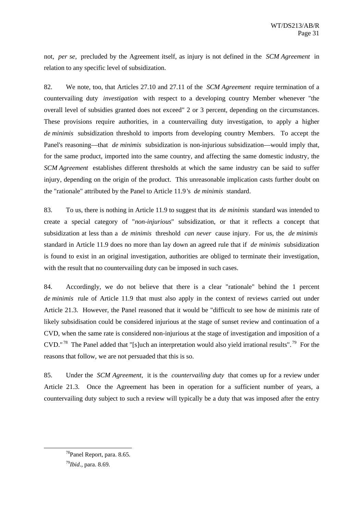not, *per se*, precluded by the Agreement itself, as injury is not defined in the *SCM Agreement* in relation to any specific level of subsidization.

82. We note, too, that Articles 27.10 and 27.11 of the *SCM Agreement* require termination of a countervailing duty *investigation* with respect to a developing country Member whenever "the overall level of subsidies granted does not exceed" 2 or 3 percent, depending on the circumstances. These provisions require authorities, in a countervailing duty investigation, to apply a higher *de minimis* subsidization threshold to imports from developing country Members. To accept the Panel's reasoning—that *de minimis* subsidization is non-injurious subsidization—would imply that, for the same product, imported into the same country, and affecting the same domestic industry, the *SCM Agreement* establishes different thresholds at which the same industry can be said to suffer injury, depending on the origin of the product. This unreasonable implication casts further doubt on the "rationale" attributed by the Panel to Article 11.9 's *de minimis* standard.

83. To us, there is nothing in Article 11.9 to suggest that its *de minimis* standard was intended to create a special category of "*non-injurious*" subsidization, or that it reflects a concept that subsidization at less than a *de minimis* threshold *can never* cause injury. For us, the *de minimis* standard in Article 11.9 does no more than lay down an agreed rule that if *de minimis* subsidization is found to exist in an original investigation, authorities are obliged to terminate their investigation, with the result that no countervailing duty can be imposed in such cases.

84. Accordingly, we do not believe that there is a clear "rationale" behind the 1 percent *de minimis* rule of Article 11.9 that must also apply in the context of reviews carried out under Article 21.3. However, the Panel reasoned that it would be "difficult to see how de minimis rate of likely subsidisation could be considered injurious at the stage of sunset review and continuation of a CVD, when the same rate is considered non-injurious at the stage of investigation and imposition of a CVD."<sup>78</sup> The Panel added that "[s]uch an interpretation would also yield irrational results".<sup>79</sup> For the reasons that follow, we are not persuaded that this is so.

85. Under the *SCM Agreement*, it is the *countervailing duty* that comes up for a review under Article 21.3. Once the Agreement has been in operation for a sufficient number of years, a countervailing duty subject to such a review will typically be a duty that was imposed after the entry

 $\overline{a}$ 

<sup>78</sup>Panel Report, para. 8.65.

<sup>79</sup>*Ibid*., para. 8.69.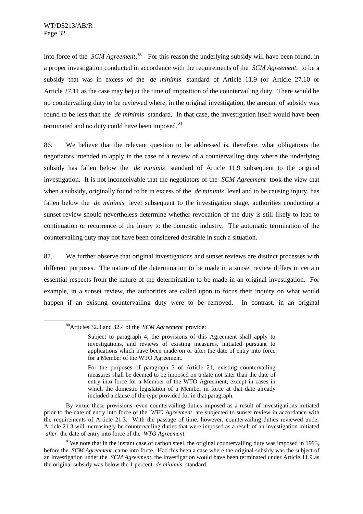l

into force of the *SCM Agreement*.<sup>80</sup> For this reason the underlying subsidy will have been found, in a proper investigation conducted in accordance with the requirements of the *SCM Agreement*, to be a subsidy that was in excess of the *de minimis* standard of Article 11.9 (or Article 27.10 or Article 27.11 as the case may be) at the time of imposition of the countervailing duty. There would be no countervailing duty to be reviewed where, in the original investigation, the amount of subsidy was found to be less than the *de minimis* standard. In that case, the investigation itself would have been terminated and no duty could have been imposed.<sup>81</sup>

86. We believe that the relevant question to be addressed is, therefore, what obligations the negotiators intended to apply in the case of a review of a countervailing duty where the underlying subsidy has fallen below the *de minimis* standard of Article 11.9 subsequent to the original investigation. It is not inconceivable that the negotiators of the *SCM Agreement* took the view that when a subsidy, originally found to be in excess of the *de minimis* level and to be causing injury, has fallen below the *de minimis* level subsequent to the investigation stage, authorities conducting a sunset review should nevertheless determine whether revocation of the duty is still likely to lead to continuation or recurrence of the injury to the domestic industry. The automatic termination of the countervailing duty may not have been considered desirable in such a situation.

87. We further observe that original investigations and sunset reviews are distinct processes with different purposes. The nature of the determination to be made in a sunset review differs in certain essential respects from the nature of the determination to be made in an original investigation. For example, in a sunset review, the authorities are called upon to focus their inquiry on what would happen if an existing countervailing duty were to be removed. In contrast, in an original

By virtue these provisions, even countervailing duties imposed as a result of investigations initiated prior to the date of entry into force of the *WTO Agreement* are subjected to sunset review in accordance with the requirements of Article 21.3. With the passage of time, however, countervailing duties reviewed under Article 21.3 will increasingly be countervailing duties that were imposed as a result of an investigation initiated *after* the date of entry into force of the *WTO Agreement.*

 $81$ We note that in the instant case of carbon steel, the original countervailing duty was imposed in 1993, before the *SCM Agreement* came into force. Had this been a case where the original subsidy was the subject of an investigation under the *SCM Agreement*, the investigation would have been terminated under Article 11.9 as the original subsidy was below the 1 percent *de minimis* standard.

<sup>80</sup>Articles 32.3 and 32.4 of the *SCM Agreement* provide:

Subject to paragraph 4, the provisions of this Agreement shall apply to investigations, and reviews of existing measures, initiated pursuant to applications which have been made on or after the date of entry into force for a Member of the WTO Agreement.

For the purposes of paragraph 3 of Article 21, existing countervailing measures shall be deemed to be imposed on a date not later than the date of entry into force for a Member of the WTO Agreement, except in cases in which the domestic legislation of a Member in force at that date already included a clause of the type provided for in that paragraph.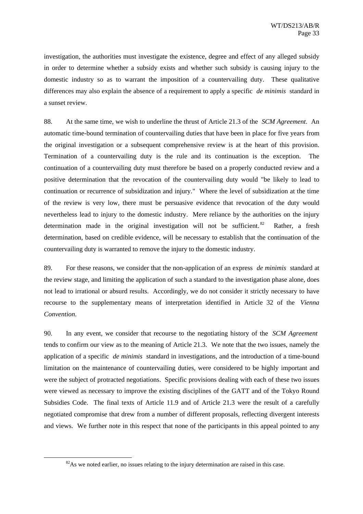investigation, the authorities must investigate the existence, degree and effect of any alleged subsidy in order to determine whether a subsidy exists and whether such subsidy is causing injury to the domestic industry so as to warrant the imposition of a countervailing duty. These qualitative differences may also explain the absence of a requirement to apply a specific *de minimis* standard in a sunset review.

88. At the same time, we wish to underline the thrust of Article 21.3 of the *SCM Agreement*. An automatic time-bound termination of countervailing duties that have been in place for five years from the original investigation or a subsequent comprehensive review is at the heart of this provision. Termination of a countervailing duty is the rule and its continuation is the exception. The continuation of a countervailing duty must therefore be based on a properly conducted review and a positive determination that the revocation of the countervailing duty would "be likely to lead to continuation or recurrence of subsidization and injury." Where the level of subsidization at the time of the review is very low, there must be persuasive evidence that revocation of the duty would nevertheless lead to injury to the domestic industry. Mere reliance by the authorities on the injury determination made in the original investigation will not be sufficient.<sup>82</sup> Rather, a fresh determination, based on credible evidence, will be necessary to establish that the continuation of the countervailing duty is warranted to remove the injury to the domestic industry.

89. For these reasons, we consider that the non-application of an express *de minimis* standard at the review stage, and limiting the application of such a standard to the investigation phase alone, does not lead to irrational or absurd results. Accordingly, we do not consider it strictly necessary to have recourse to the supplementary means of interpretation identified in Article 32 of the *Vienna Convention*.

90. In any event, we consider that recourse to the negotiating history of the *SCM Agreement* tends to confirm our view as to the meaning of Article 21.3. We note that the two issues, namely the application of a specific *de minimis* standard in investigations, and the introduction of a time-bound limitation on the maintenance of countervailing duties, were considered to be highly important and were the subject of protracted negotiations. Specific provisions dealing with each of these two issues were viewed as necessary to improve the existing disciplines of the GATT and of the Tokyo Round Subsidies Code. The final texts of Article 11.9 and of Article 21.3 were the result of a carefully negotiated compromise that drew from a number of different proposals, reflecting divergent interests and views. We further note in this respect that none of the participants in this appeal pointed to any

 $82\text{As}$  we noted earlier, no issues relating to the injury determination are raised in this case.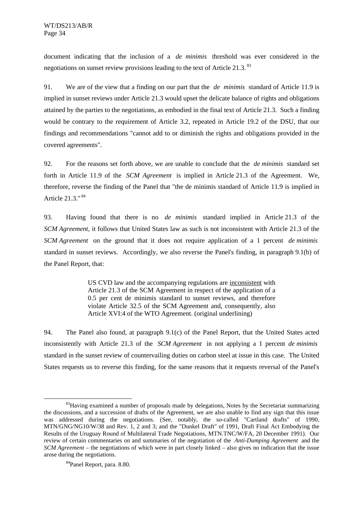document indicating that the inclusion of a *de minimis* threshold was ever considered in the negotiations on sunset review provisions leading to the text of Article 21.3.<sup>83</sup>

91. We are of the view that a finding on our part that the *de minimis* standard of Article 11.9 is implied in sunset reviews under Article 21.3 would upset the delicate balance of rights and obligations attained by the parties to the negotiations, as embodied in the final text of Article 21.3. Such a finding would be contrary to the requirement of Article 3.2, repeated in Article 19.2 of the DSU, that our findings and recommendations "cannot add to or diminish the rights and obligations provided in the covered agreements".

92. For the reasons set forth above, we are unable to conclude that the *de minimis* standard set forth in Article 11.9 of the *SCM Agreement* is implied in Article 21.3 of the Agreement. We, therefore, reverse the finding of the Panel that "the de minimis standard of Article 11.9 is implied in Article 21.3." <sup>84</sup>

93. Having found that there is no *de minimis* standard implied in Article 21.3 of the *SCM Agreement*, it follows that United States law as such is not inconsistent with Article 21.3 of the *SCM Agreement* on the ground that it does not require application of a 1 percent *de minimis* standard in sunset reviews. Accordingly, we also reverse the Panel's finding, in paragraph 9.1(b) of the Panel Report, that:

> US CVD law and the accompanying regulations are inconsistent with Article 21.3 of the SCM Agreement in respect of the application of a 0.5 per cent de minimis standard to sunset reviews, and therefore violate Article 32.5 of the SCM Agreement and, consequently, also Article XVI:4 of the WTO Agreement. (original underlining)

94. The Panel also found, at paragraph 9.1(c) of the Panel Report, that the United States acted inconsistently with Article 21.3 of the *SCM Agreement* in not applying a 1 percent *de minimis* standard in the sunset review of countervailing duties on carbon steel at issue in this case. The United States requests us to reverse this finding, for the same reasons that it requests reversal of the Panel's

<sup>84</sup>Panel Report, para. 8.80.

 $\overline{\phantom{a}}$ 

 $83$ Having examined a number of proposals made by delegations. Notes by the Secretariat summarizing the discussions, and a succession of drafts of the Agreement, we are also unable to find any sign that this issue was addressed during the negotiations. (See, notably, the so-called "Cartland drafts" of 1990, MTN/GNG/NG10/W/38 and Rev. 1, 2 and 3; and the "Dunkel Draft" of 1991, Draft Final Act Embodying the Results of the Uruguay Round of Multilateral Trade Negotiations, MTN.TNC/W/FA, 20 December 1991). Our review of certain commentaries on and summaries of the negotiation of the *Anti-Dumping Agreement* and the *SCM Agreement* – the negotiations of which were in part closely linked – also gives no indication that the issue arose during the negotiations.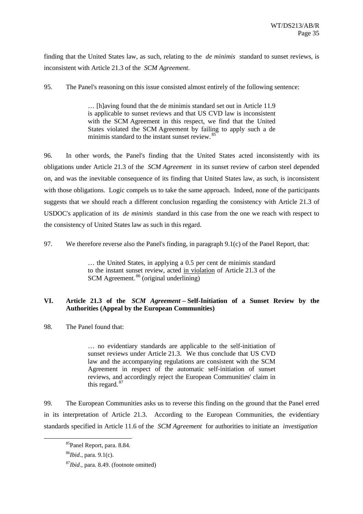finding that the United States law, as such, relating to the *de minimis* standard to sunset reviews, is inconsistent with Article 21.3 of the *SCM Agreement*.

95. The Panel's reasoning on this issue consisted almost entirely of the following sentence:

… [h]aving found that the de minimis standard set out in Article 11.9 is applicable to sunset reviews and that US CVD law is inconsistent with the SCM Agreement in this respect, we find that the United States violated the SCM Agreement by failing to apply such a de minimis standard to the instant sunset review.<sup>85</sup>

96. In other words, the Panel's finding that the United States acted inconsistently with its obligations under Article 21.3 of the *SCM Agreement* in its sunset review of carbon steel depended on, and was the inevitable consequence of its finding that United States law, as such, is inconsistent with those obligations. Logic compels us to take the same approach. Indeed, none of the participants suggests that we should reach a different conclusion regarding the consistency with Article 21.3 of USDOC's application of its *de minimis* standard in this case from the one we reach with respect to the consistency of United States law as such in this regard.

97. We therefore reverse also the Panel's finding, in paragraph 9.1(c) of the Panel Report, that:

… the United States, in applying a 0.5 per cent de minimis standard to the instant sunset review, acted in violation of Article 21.3 of the SCM Agreement.  $86$  (original underlining)

### **VI. Article 21.3 of the** *SCM Agreement –* **Self-Initiation of a Sunset Review by the Authorities (Appeal by the European Communities)**

98. The Panel found that:

… no evidentiary standards are applicable to the self-initiation of sunset reviews under Article 21.3. We thus conclude that US CVD law and the accompanying regulations are consistent with the SCM Agreement in respect of the automatic self-initiation of sunset reviews, and accordingly reject the European Communities' claim in this regard. <sup>87</sup>

99. The European Communities asks us to reverse this finding on the ground that the Panel erred in its interpretation of Article 21.3. According to the European Communities, the evidentiary standards specified in Article 11.6 of the *SCM Agreement* for authorities to initiate an *investigation*

 $\overline{a}$ 

<sup>85</sup>Panel Report, para. 8.84.

<sup>86</sup>*Ibid*., para. 9.1(c).

<sup>87</sup>*Ibid*., para. 8.49. (footnote omitted)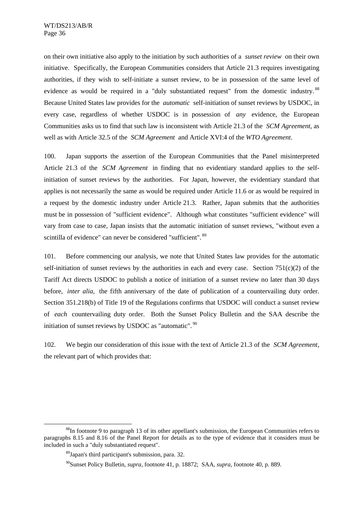on their own initiative also apply to the initiation by such authorities of a *sunset review* on their own initiative. Specifically, the European Communities considers that Article 21.3 requires investigating authorities, if they wish to self-initiate a sunset review, to be in possession of the same level of evidence as would be required in a "duly substantiated request" from the domestic industry. <sup>88</sup> Because United States law provides for the *automatic* self-initiation of sunset reviews by USDOC, in every case, regardless of whether USDOC is in possession of *any* evidence, the European Communities asks us to find that such law is inconsistent with Article 21.3 of the *SCM Agreement*, as well as with Article 32.5 of the *SCM Agreement* and Article XVI:4 of the *WTO Agreement*.

100. Japan supports the assertion of the European Communities that the Panel misinterpreted Article 21.3 of the *SCM Agreement* in finding that no evidentiary standard applies to the selfinitiation of sunset reviews by the authorities. For Japan, however, the evidentiary standard that applies is not necessarily the same as would be required under Article 11.6 or as would be required in a request by the domestic industry under Article 21.3. Rather, Japan submits that the authorities must be in possession of "sufficient evidence". Although what constitutes "sufficient evidence" will vary from case to case, Japan insists that the automatic initiation of sunset reviews, "without even a scintilla of evidence" can never be considered "sufficient". <sup>89</sup>

101. Before commencing our analysis, we note that United States law provides for the automatic self-initiation of sunset reviews by the authorities in each and every case. Section  $751(c)(2)$  of the Tariff Act directs USDOC to publish a notice of initiation of a sunset review no later than 30 days before, *inter alia,* the fifth anniversary of the date of publication of a countervailing duty order. Section 351.218(b) of Title 19 of the Regulations confirms that USDOC will conduct a sunset review of *each* countervailing duty order. Both the Sunset Policy Bulletin and the SAA describe the initiation of sunset reviews by USDOC as "automatic". <sup>90</sup>

102. We begin our consideration of this issue with the text of Article 21.3 of the *SCM Agreement*, the relevant part of which provides that:

 $\overline{a}$ 

 $88$ In footnote 9 to paragraph 13 of its other appellant's submission, the European Communities refers to paragraphs 8.15 and 8.16 of the Panel Report for details as to the type of evidence that it considers must be included in such a "duly substantiated request".

<sup>89</sup>Japan's third participant's submission, para. 32.

<sup>90</sup>Sunset Policy Bulletin, *supra*, footnote 41, p. 18872; SAA, *supra*, footnote 40, p. 889.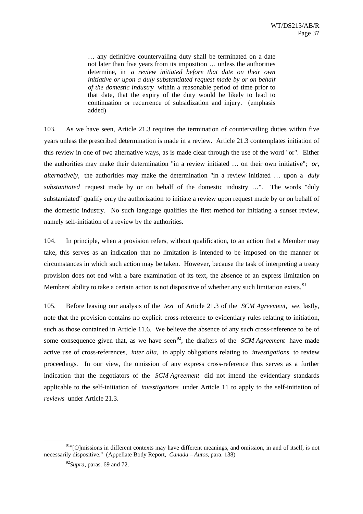… any definitive countervailing duty shall be terminated on a date not later than five years from its imposition … unless the authorities determine, in *a review initiated before that date on their own initiative or upon a duly substantiated request made by or on behalf of the domestic industry* within a reasonable period of time prior to that date, that the expiry of the duty would be likely to lead to continuation or recurrence of subsidization and injury. (emphasis added)

103. As we have seen, Article 21.3 requires the termination of countervailing duties within five years unless the prescribed determination is made in a review. Article 21.3 contemplates initiation of this review in one of two alternative ways, as is made clear through the use of the word "or". Either the authorities may make their determination "in a review initiated … on their own initiative"; *or*, *alternatively*, the authorities may make the determination "in a review initiated … upon a *duly substantiated* request made by or on behalf of the domestic industry …". The words "duly substantiated" qualify only the authorization to initiate a review upon request made by or on behalf of the domestic industry. No such language qualifies the first method for initiating a sunset review, namely self-initiation of a review by the authorities.

104. In principle, when a provision refers, without qualification, to an action that a Member may take, this serves as an indication that no limitation is intended to be imposed on the manner or circumstances in which such action may be taken. However, because the task of interpreting a treaty provision does not end with a bare examination of its text, the absence of an express limitation on Members' ability to take a certain action is not dispositive of whether any such limitation exists.<sup>91</sup>

105. Before leaving our analysis of the *text* of Article 21.3 of the *SCM Agreement*, we, lastly, note that the provision contains no explicit cross-reference to evidentiary rules relating to initiation, such as those contained in Article 11.6. We believe the absence of any such cross-reference to be of some consequence given that, as we have seen<sup>92</sup>, the drafters of the *SCM Agreement* have made active use of cross-references, *inter alia*, to apply obligations relating to *investigations* to review proceedings. In our view, the omission of any express cross-reference thus serves as a further indication that the negotiators of the *SCM Agreement* did not intend the evidentiary standards applicable to the self-initiation of *investigations* under Article 11 to apply to the self-initiation of *reviews* under Article 21.3.

 $\overline{\phantom{a}}$ 

 $91$ <sup>n</sup>[O]missions in different contexts may have different meanings, and omission, in and of itself, is not necessarily dispositive." (Appellate Body Report, *Canada – Autos*, para. 138)

<sup>92</sup>*Supra*, paras. 69 and 72.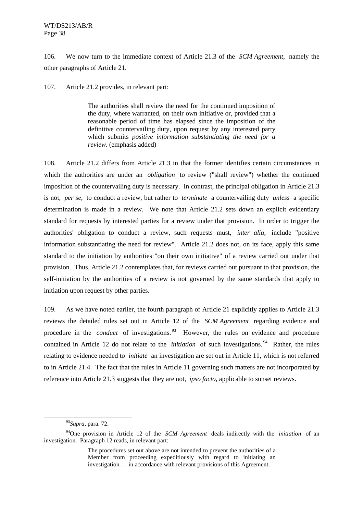106. We now turn to the immediate context of Article 21.3 of the *SCM Agreement*, namely the other paragraphs of Article 21.

107. Article 21.2 provides, in relevant part:

The authorities shall review the need for the continued imposition of the duty, where warranted, on their own initiative or, provided that a reasonable period of time has elapsed since the imposition of the definitive countervailing duty, upon request by any interested party which submits *positive information substantiating the need for a review*. (emphasis added)

108. Article 21.2 differs from Article 21.3 in that the former identifies certain circumstances in which the authorities are under an *obligation* to review ("shall review") whether the continued imposition of the countervailing duty is necessary. In contrast, the principal obligation in Article 21.3 is not, *per se*, to conduct a review, but rather to *terminate* a countervailing duty *unless* a specific determination is made in a review. We note that Article 21.2 sets down an explicit evidentiary standard for requests by interested parties for a review under that provision. In order to trigger the authorities' obligation to conduct a review, such requests must, *inter alia*, include "positive information substantiating the need for review". Article 21.2 does not, on its face, apply this same standard to the initiation by authorities "on their own initiative" of a review carried out under that provision. Thus, Article 21.2 contemplates that, for reviews carried out pursuant to that provision, the self-initiation by the authorities of a review is not governed by the same standards that apply to initiation upon request by other parties.

109. As we have noted earlier, the fourth paragraph of Article 21 explicitly applies to Article 21.3 reviews the detailed rules set out in Article 12 of the *SCM Agreement* regarding evidence and procedure in the *conduct* of investigations.<sup>93</sup> However, the rules on evidence and procedure contained in Article 12 do not relate to the *initiation* of such investigations.<sup>94</sup> Rather, the rules relating to evidence needed to *initiate* an investigation are set out in Article 11, which is not referred to in Article 21.4. The fact that the rules in Article 11 governing such matters are not incorporated by reference into Article 21.3 suggests that they are not, *ipso facto*, applicable to sunset reviews.

 $\overline{\phantom{a}}$ 

<sup>93</sup>*Supra*, para. 72.

<sup>94</sup>One provision in Article 12 of the *SCM Agreement* deals indirectly with the *initiation* of an investigation. Paragraph 12 reads, in relevant part:

The procedures set out above are not intended to prevent the authorities of a Member from proceeding expeditiously with regard to initiating an investigation … in accordance with relevant provisions of this Agreement.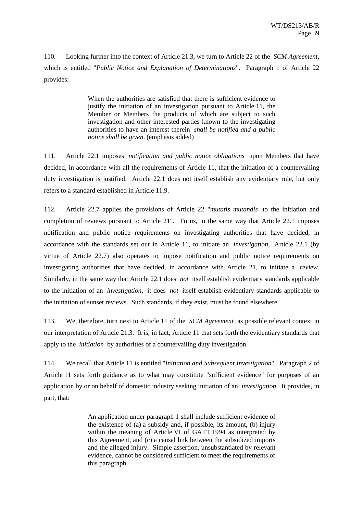110. Looking further into the context of Article 21.3, we turn to Article 22 of the *SCM Agreement*, which is entitled "*Public Notice and Explanation of Determinations*". Paragraph 1 of Article 22 provides:

> When the authorities are satisfied that there is sufficient evidence to justify the initiation of an investigation pursuant to Article 11, the Member or Members the products of which are subject to such investigation and other interested parties known to the investigating authorities to have an interest therein *shall be notified and a public notice shall be given*. (emphasis added)

111. Article 22.1 imposes *notification and public notice obligations* upon Members that have decided, in accordance with all the requirements of Article 11, that the initiation of a countervailing duty investigation is justified. Article 22.1 does not itself establish any evidentiary rule, but only refers to a standard established in Article 11.9.

112. Article 22.7 applies the provisions of Article 22 "*mutatis mutandis* to the initiation and completion of reviews pursuant to Article 21". To us, in the same way that Article 22.1 imposes notification and public notice requirements on investigating authorities that have decided, in accordance with the standards set out in Article 11, to initiate an *investigation*, Article 22.1 (by virtue of Article 22.7) also operates to impose notification and public notice requirements on investigating authorities that have decided, in accordance with Article 21, to initiate a *review*. Similarly, in the same way that Article 22.1 does *not* itself establish evidentiary standards applicable to the initiation of an *investigation*, it does *not* itself establish evidentiary standards applicable to the initiation of sunset reviews. Such standards, if they exist, must be found elsewhere.

113. We, therefore, turn next to Article 11 of the *SCM Agreement* as possible relevant context in our interpretation of Article 21.3. It is, in fact, Article 11 that sets forth the evidentiary standards that apply to the *initiation* by authorities of a countervailing duty investigation.

114. We recall that Article 11 is entitled "*Initiation and Subsequent Investigation*". Paragraph 2 of Article 11 sets forth guidance as to what may constitute "sufficient evidence" for purposes of an application by or on behalf of domestic industry seeking initiation of an *investigation*. It provides, in part, that:

> An application under paragraph 1 shall include sufficient evidence of the existence of (a) a subsidy and, if possible, its amount, (b) injury within the meaning of Article VI of GATT 1994 as interpreted by this Agreement, and (c) a causal link between the subsidized imports and the alleged injury. Simple assertion, unsubstantiated by relevant evidence, cannot be considered sufficient to meet the requirements of this paragraph.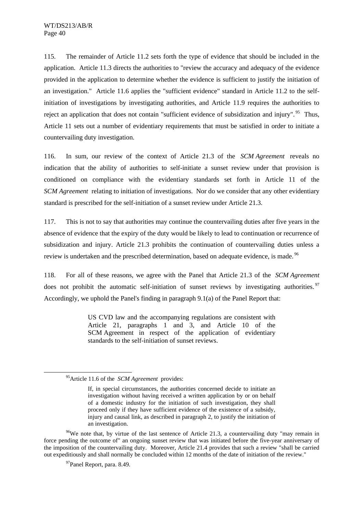115. The remainder of Article 11.2 sets forth the type of evidence that should be included in the application. Article 11.3 directs the authorities to "review the accuracy and adequacy of the evidence provided in the application to determine whether the evidence is sufficient to justify the initiation of an investigation." Article 11.6 applies the "sufficient evidence" standard in Article 11.2 to the selfinitiation of investigations by investigating authorities, and Article 11.9 requires the authorities to reject an application that does not contain "sufficient evidence of subsidization and injury". <sup>95</sup> Thus, Article 11 sets out a number of evidentiary requirements that must be satisfied in order to initiate a countervailing duty investigation.

116. In sum, our review of the context of Article 21.3 of the *SCM Agreement* reveals no indication that the ability of authorities to self-initiate a sunset review under that provision is conditioned on compliance with the evidentiary standards set forth in Article 11 of the *SCM Agreement* relating to initiation of investigations. Nor do we consider that any other evidentiary standard is prescribed for the self-initiation of a sunset review under Article 21.3.

117. This is not to say that authorities may continue the countervailing duties after five years in the absence of evidence that the expiry of the duty would be likely to lead to continuation or recurrence of subsidization and injury. Article 21.3 prohibits the continuation of countervailing duties unless a review is undertaken and the prescribed determination, based on adequate evidence, is made.<sup>96</sup>

118. For all of these reasons, we agree with the Panel that Article 21.3 of the *SCM Agreement* does not prohibit the automatic self-initiation of sunset reviews by investigating authorities.  $97$ Accordingly, we uphold the Panel's finding in paragraph 9.1(a) of the Panel Report that:

> US CVD law and the accompanying regulations are consistent with Article 21, paragraphs 1 and 3, and Article 10 of the SCM Agreement in respect of the application of evidentiary standards to the self-initiation of sunset reviews.

 $\overline{\phantom{a}}$ 

<sup>95</sup>Article 11.6 of the *SCM Agreement* provides:

If, in special circumstances, the authorities concerned decide to initiate an investigation without having received a written application by or on behalf of a domestic industry for the initiation of such investigation, they shall proceed only if they have sufficient evidence of the existence of a subsidy, injury and causal link, as described in paragraph 2, to justify the initiation of an investigation.

<sup>&</sup>lt;sup>96</sup>We note that, by virtue of the last sentence of Article 21.3, a countervailing duty "may remain in force pending the outcome of" an ongoing sunset review that was initiated before the five-year anniversary of the imposition of the countervailing duty. Moreover, Article 21.4 provides that such a review "shall be carried out expeditiously and shall normally be concluded within 12 months of the date of initiation of the review."

<sup>97</sup>Panel Report, para. 8.49.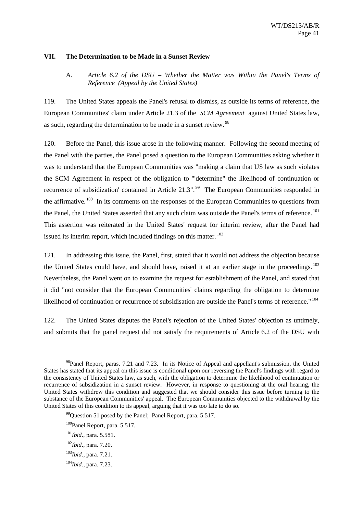#### **VII. The Determination to be Made in a Sunset Review**

A. *Article 6.2 of the DSU – Whether the Matter was Within the Panel's Terms of Reference (Appeal by the United States)*

119. The United States appeals the Panel's refusal to dismiss, as outside its terms of reference, the European Communities' claim under Article 21.3 of the *SCM Agreement* against United States law, as such, regarding the determination to be made in a sunset review. <sup>98</sup>

120. Before the Panel, this issue arose in the following manner. Following the second meeting of the Panel with the parties, the Panel posed a question to the European Communities asking whether it was to understand that the European Communities was "making a claim that US law as such violates the SCM Agreement in respect of the obligation to '"determine" the likelihood of continuation or recurrence of subsidization' contained in Article  $21.3"$ . The European Communities responded in the affirmative. <sup>100</sup> In its comments on the responses of the European Communities to questions from the Panel, the United States asserted that any such claim was outside the Panel's terms of reference. <sup>101</sup> This assertion was reiterated in the United States' request for interim review, after the Panel had issued its interim report, which included findings on this matter. <sup>102</sup>

121. In addressing this issue, the Panel, first, stated that it would not address the objection because the United States could have, and should have, raised it at an earlier stage in the proceedings. <sup>103</sup> Nevertheless, the Panel went on to examine the request for establishment of the Panel, and stated that it did "not consider that the European Communities' claims regarding the obligation to determine likelihood of continuation or recurrence of subsidisation are outside the Panel's terms of reference." 104

122. The United States disputes the Panel's rejection of the United States' objection as untimely, and submits that the panel request did not satisfy the requirements of Article 6.2 of the DSU with

l

<sup>104</sup>*Ibid*., para. 7.23.

<sup>&</sup>lt;sup>98</sup>Panel Report, paras. 7.21 and 7.23. In its Notice of Appeal and appellant's submission, the United States has stated that its appeal on this issue is conditional upon our reversing the Panel's findings with regard to the consistency of United States law, as such, with the obligation to determine the likelihood of continuation or recurrence of subsidization in a sunset review. However, in response to questioning at the oral hearing, the United States withdrew this condition and suggested that we should consider this issue before turning to the substance of the European Communities' appeal. The European Communities objected to the withdrawal by the United States of this condition to its appeal, arguing that it was too late to do so.

 $99$ Question 51 posed by the Panel; Panel Report, para. 5.517.

<sup>&</sup>lt;sup>100</sup>Panel Report, para. 5.517.

<sup>101</sup>*Ibid*., para. 5.581.

<sup>102</sup>*Ibid*., para. 7.20.

<sup>103</sup>*Ibid*., para. 7.21.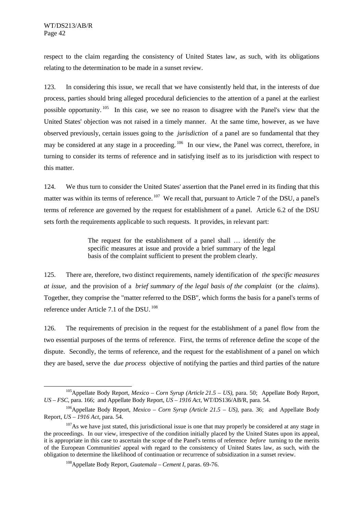l

respect to the claim regarding the consistency of United States law, as such, with its obligations relating to the determination to be made in a sunset review.

123. In considering this issue, we recall that we have consistently held that, in the interests of due process, parties should bring alleged procedural deficiencies to the attention of a panel at the earliest possible opportunity. <sup>105</sup> In this case, we see no reason to disagree with the Panel's view that the United States' objection was not raised in a timely manner. At the same time, however, as we have observed previously, certain issues going to the *jurisdiction* of a panel are so fundamental that they may be considered at any stage in a proceeding. <sup>106</sup> In our view, the Panel was correct, therefore, in turning to consider its terms of reference and in satisfying itself as to its jurisdiction with respect to this matter.

124. We thus turn to consider the United States' assertion that the Panel erred in its finding that this matter was within its terms of reference.<sup>107</sup> We recall that, pursuant to Article 7 of the DSU, a panel's terms of reference are governed by the request for establishment of a panel. Article 6.2 of the DSU sets forth the requirements applicable to such requests. It provides, in relevant part:

> The request for the establishment of a panel shall … identify the specific measures at issue and provide a brief summary of the legal basis of the complaint sufficient to present the problem clearly.

125. There are, therefore, two distinct requirements, namely identification of *the specific measures at issue*, and the provision of a *brief summary of the legal basis of the complaint* (or the *claims*). Together, they comprise the "matter referred to the DSB", which forms the basis for a panel's terms of reference under Article 7.1 of the DSU. <sup>108</sup>

126. The requirements of precision in the request for the establishment of a panel flow from the two essential purposes of the terms of reference. First, the terms of reference define the scope of the dispute. Secondly, the terms of reference, and the request for the establishment of a panel on which they are based, serve the *due process* objective of notifying the parties and third parties of the nature

<sup>105</sup>Appellate Body Report, *Mexico – Corn Syrup (Article 21.5 – US)*, para. 50; Appellate Body Report, *US – FSC*, para. 166; and Appellate Body Report, *US – 1916 Act*, WT/DS136/AB/R, para. 54.

<sup>106</sup>Appellate Body Report, *Mexico – Corn Syrup (Article 21.5 – US)*, para. 36; and Appellate Body Report, *US – 1916 Act*, para. 54.

 $107\text{As}$  we have just stated, this jurisdictional issue is one that may properly be considered at any stage in the proceedings. In our view, irrespective of the condition initially placed by the United States upon its appeal, it is appropriate in this case to ascertain the scope of the Panel's terms of reference *before* turning to the merits of the European Communities' appeal with regard to the consistency of United States law, as such, with the obligation to determine the likelihood of continuation or recurrence of subsidization in a sunset review.

<sup>108</sup>Appellate Body Report, *Guatemala – Cement I*, paras. 69-76.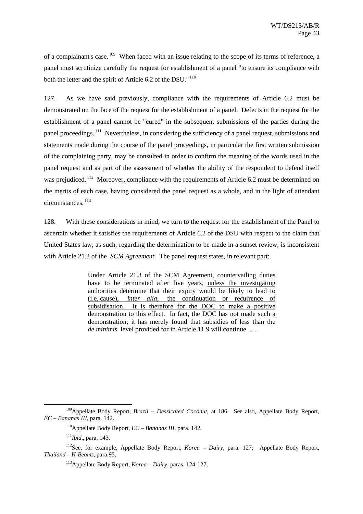of a complainant's case. <sup>109</sup> When faced with an issue relating to the scope of its terms of reference, a panel must scrutinize carefully the request for establishment of a panel "to ensure its compliance with both the letter and the spirit of Article 6.2 of the DSU." <sup>110</sup>

127. As we have said previously, compliance with the requirements of Article 6.2 must be demonstrated on the face of the request for the establishment of a panel. Defects in the request for the establishment of a panel cannot be "cured" in the subsequent submissions of the parties during the panel proceedings. <sup>111</sup> Nevertheless, in considering the sufficiency of a panel request, submissions and statements made during the course of the panel proceedings, in particular the first written submission of the complaining party, may be consulted in order to confirm the meaning of the words used in the panel request and as part of the assessment of whether the ability of the respondent to defend itself was prejudiced. <sup>112</sup> Moreover, compliance with the requirements of Article 6.2 must be determined on the merits of each case, having considered the panel request as a whole, and in the light of attendant circumstances. <sup>113</sup>

128. With these considerations in mind, we turn to the request for the establishment of the Panel to ascertain whether it satisfies the requirements of Article 6.2 of the DSU with respect to the claim that United States law, as such, regarding the determination to be made in a sunset review, is inconsistent with Article 21.3 of the *SCM Agreement*. The panel request states, in relevant part:

> Under Article 21.3 of the SCM Agreement, countervailing duties have to be terminated after five years, unless the investigating authorities determine that their expiry would be likely to lead to (i.e. cause), *inter alia*, the continuation or recurrence of subsidisation. It is therefore for the DOC to make a positive demonstration to this effect. In fact, the DOC has not made such a demonstration; it has merely found that subsidies of less than the *de minimis* level provided for in Article 11.9 will continue. …

<sup>109</sup>Appellate Body Report, *Brazil – Dessicated Coconut*, at 186. See also, Appellate Body Report, *EC – Bananas III*, para. 142.

<sup>110</sup>Appellate Body Report, *EC – Bananas III*, para. 142.

<sup>111</sup>*Ibid*., para. 143.

<sup>112</sup>See, for example, Appellate Body Report, *Korea – Dairy*, para. 127; Appellate Body Report, *Thailand – H-Beams*, para.95.

<sup>113</sup>Appellate Body Report, *Korea – Dairy*, paras. 124-127.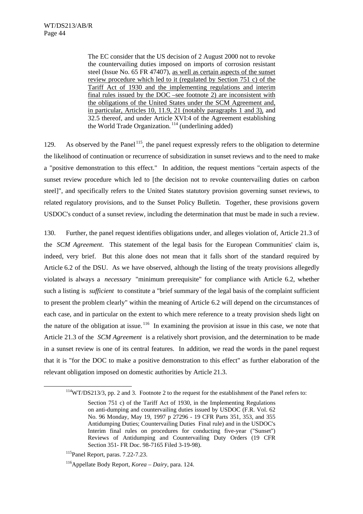The EC consider that the US decision of 2 August 2000 not to revoke the countervailing duties imposed on imports of corrosion resistant steel (Issue No. 65 FR 47407), as well as certain aspects of the sunset review procedure which led to it (regulated by Section 751 c) of the Tariff Act of 1930 and the implementing regulations and interim final rules issued by the DOC –see footnote 2) are inconsistent with the obligations of the United States under the SCM Agreement and, in particular, Articles 10, 11.9, 21 (notably paragraphs 1 and 3), and 32.5 thereof, and under Article XVI:4 of the Agreement establishing the World Trade Organization.<sup>114</sup> (underlining added)

129. As observed by the Panel <sup>115</sup>, the panel request expressly refers to the obligation to determine the likelihood of continuation or recurrence of subsidization in sunset reviews and to the need to make a "positive demonstration to this effect." In addition, the request mentions "certain aspects of the sunset review procedure which led to [the decision not to revoke countervailing duties on carbon steel]", and specifically refers to the United States statutory provision governing sunset reviews, to related regulatory provisions, and to the Sunset Policy Bulletin. Together, these provisions govern USDOC's conduct of a sunset review, including the determination that must be made in such a review.

130. Further, the panel request identifies obligations under, and alleges violation of, Article 21.3 of the *SCM Agreement*. This statement of the legal basis for the European Communities' claim is, indeed, very brief. But this alone does not mean that it falls short of the standard required by Article 6.2 of the DSU. As we have observed, although the listing of the treaty provisions allegedly violated is always a *necessary* "minimum prerequisite" for compliance with Article 6.2, whether such a listing is *sufficient* to constitute a "brief summary of the legal basis of the complaint sufficient to present the problem clearly" within the meaning of Article 6.2 will depend on the circumstances of each case, and in particular on the extent to which mere reference to a treaty provision sheds light on the nature of the obligation at issue.  $116$  In examining the provision at issue in this case, we note that Article 21.3 of the *SCM Agreement* is a relatively short provision, and the determination to be made in a sunset review is one of its central features. In addition, we read the words in the panel request that it is "for the DOC to make a positive demonstration to this effect" as further elaboration of the relevant obligation imposed on domestic authorities by Article 21.3.

<sup>&</sup>lt;sup>114</sup>WT/DS213/3, pp. 2 and 3. Footnote 2 to the request for the establishment of the Panel refers to:

Section 751 c) of the Tariff Act of 1930, in the Implementing Regulations on anti-dumping and countervailing duties issued by USDOC (F.R. Vol. 62 No. 96 Monday, May 19, 1997 p 27296 - 19 CFR Parts 351, 353, and 355 Antidumping Duties; Countervailing Duties Final rule) and in the USDOC's Interim final rules on procedures for conducting five-year ("Sunset'') Reviews of Antidumping and Countervailing Duty Orders (19 CFR Section 351- FR Doc. 98-7165 Filed 3-19-98).

 $115$ Panel Report, paras. 7.22-7.23.

<sup>116</sup>Appellate Body Report, *Korea – Dairy*, para. 124.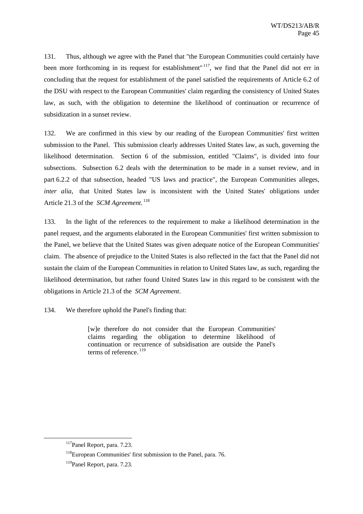131. Thus, although we agree with the Panel that "the European Communities could certainly have been more forthcoming in its request for establishment"<sup>117</sup>, we find that the Panel did not err in concluding that the request for establishment of the panel satisfied the requirements of Article 6.2 of the DSU with respect to the European Communities' claim regarding the consistency of United States law, as such, with the obligation to determine the likelihood of continuation or recurrence of subsidization in a sunset review.

132. We are confirmed in this view by our reading of the European Communities' first written submission to the Panel. This submission clearly addresses United States law, as such, governing the likelihood determination. Section 6 of the submission, entitled "Claims", is divided into four subsections. Subsection 6.2 deals with the determination to be made in a sunset review, and in part 6.2.2 of that subsection, headed "US laws and practice", the European Communities alleges, *inter alia*, that United States law is inconsistent with the United States' obligations under Article 21.3 of the *SCM Agreement*. 118

133. In the light of the references to the requirement to make a likelihood determination in the panel request, and the arguments elaborated in the European Communities' first written submission to the Panel, we believe that the United States was given adequate notice of the European Communities' claim. The absence of prejudice to the United States is also reflected in the fact that the Panel did not sustain the claim of the European Communities in relation to United States law, as such, regarding the likelihood determination, but rather found United States law in this regard to be consistent with the obligations in Article 21.3 of the *SCM Agreement*.

134. We therefore uphold the Panel's finding that:

[w]e therefore do not consider that the European Communities' claims regarding the obligation to determine likelihood of continuation or recurrence of subsidisation are outside the Panel's terms of reference.<sup>119</sup>

<sup>&</sup>lt;sup>117</sup>Panel Report, para. 7.23.

<sup>&</sup>lt;sup>118</sup>European Communities' first submission to the Panel, para. 76.

<sup>&</sup>lt;sup>119</sup>Panel Report, para. 7.23.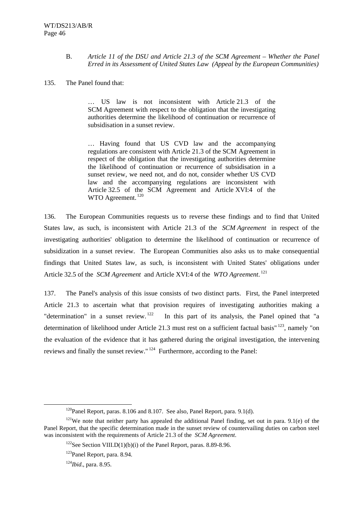B. *Article 11 of the DSU and Article 21.3 of the SCM Agreement – Whether the Panel Erred in its Assessment of United States Law (Appeal by the European Communities)*

#### 135. The Panel found that:

US law is not inconsistent with Article 21.3 of the SCM Agreement with respect to the obligation that the investigating authorities determine the likelihood of continuation or recurrence of subsidisation in a sunset review.

… Having found that US CVD law and the accompanying regulations are consistent with Article 21.3 of the SCM Agreement in respect of the obligation that the investigating authorities determine the likelihood of continuation or recurrence of subsidisation in a sunset review, we need not, and do not, consider whether US CVD law and the accompanying regulations are inconsistent with Article 32.5 of the SCM Agreement and Article XVI:4 of the WTO Agreement.<sup>120</sup>

136. The European Communities requests us to reverse these findings and to find that United States law, as such, is inconsistent with Article 21.3 of the *SCM Agreement* in respect of the investigating authorities' obligation to determine the likelihood of continuation or recurrence of subsidization in a sunset review. The European Communities also asks us to make consequential findings that United States law, as such, is inconsistent with United States' obligations under Article 32.5 of the *SCM Agreement* and Article XVI:4 of the *WTO Agreement*. 121

137. The Panel's analysis of this issue consists of two distinct parts. First, the Panel interpreted Article 21.3 to ascertain what that provision requires of investigating authorities making a "determination" in a sunset review.  $122$  In this part of its analysis, the Panel opined that "a determination of likelihood under Article 21.3 must rest on a sufficient factual basis"<sup>123</sup>, namely "on the evaluation of the evidence that it has gathered during the original investigation, the intervening reviews and finally the sunset review." <sup>124</sup> Furthermore, according to the Panel:

 $120$ Panel Report, paras. 8.106 and 8.107. See also, Panel Report, para. 9.1(d).

 $121$ We note that neither party has appealed the additional Panel finding, set out in para. 9.1(e) of the Panel Report, that the specific determination made in the sunset review of countervailing duties on carbon steel was inconsistent with the requirements of Article 21.3 of the *SCM Agreement*.

<sup>&</sup>lt;sup>122</sup>See Section VIII.D(1)(b)(i) of the Panel Report, paras. 8.89-8.96.

<sup>123</sup>Panel Report, para. 8.94.

<sup>124</sup>*Ibid*., para. 8.95.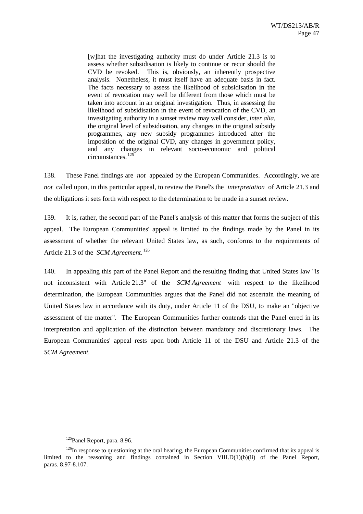[w]hat the investigating authority must do under Article 21.3 is to assess whether subsidisation is likely to continue or recur should the CVD be revoked. This is, obviously, an inherently prospective analysis. Nonetheless, it must itself have an adequate basis in fact. The facts necessary to assess the likelihood of subsidisation in the event of revocation may well be different from those which must be taken into account in an original investigation. Thus, in assessing the likelihood of subsidisation in the event of revocation of the CVD, an investigating authority in a sunset review may well consider, *inter alia*, the original level of subsidisation, any changes in the original subsidy programmes, any new subsidy programmes introduced after the imposition of the original CVD, any changes in government policy, and any changes in relevant socio-economic and political circumstances. <sup>125</sup>

138. These Panel findings are *not* appealed by the European Communities. Accordingly, we are *not* called upon, in this particular appeal, to review the Panel's the *interpretation* of Article 21.3 and the obligations it sets forth with respect to the determination to be made in a sunset review.

139. It is, rather, the second part of the Panel's analysis of this matter that forms the subject of this appeal. The European Communities' appeal is limited to the findings made by the Panel in its assessment of whether the relevant United States law, as such, conforms to the requirements of Article 21.3 of the *SCM Agreement*. 126

140. In appealing this part of the Panel Report and the resulting finding that United States law "is not inconsistent with Article 21.3" of the *SCM Agreement* with respect to the likelihood determination, the European Communities argues that the Panel did not ascertain the meaning of United States law in accordance with its duty, under Article 11 of the DSU, to make an "objective assessment of the matter". The European Communities further contends that the Panel erred in its interpretation and application of the distinction between mandatory and discretionary laws. The European Communities' appeal rests upon both Article 11 of the DSU and Article 21.3 of the *SCM Agreement.*

<sup>&</sup>lt;sup>125</sup>Panel Report, para. 8.96.

 $126$ In response to questioning at the oral hearing, the European Communities confirmed that its appeal is limited to the reasoning and findings contained in Section VIII.D(1)(b)(ii) of the Panel Report, paras. 8.97-8.107.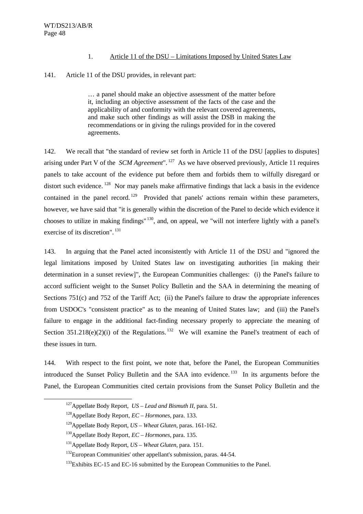#### 1. Article 11 of the DSU – Limitations Imposed by United States Law

141. Article 11 of the DSU provides, in relevant part:

… a panel should make an objective assessment of the matter before it, including an objective assessment of the facts of the case and the applicability of and conformity with the relevant covered agreements, and make such other findings as will assist the DSB in making the recommendations or in giving the rulings provided for in the covered agreements.

142. We recall that "the standard of review set forth in Article 11 of the DSU [applies to disputes] arising under Part V of the *SCM Agreement*". <sup>127</sup> As we have observed previously, Article 11 requires panels to take account of the evidence put before them and forbids them to wilfully disregard or distort such evidence.  $128$  Nor may panels make affirmative findings that lack a basis in the evidence contained in the panel record.<sup>129</sup> Provided that panels' actions remain within these parameters, however, we have said that "it is generally within the discretion of the Panel to decide which evidence it chooses to utilize in making findings" <sup>130</sup>, and, on appeal, we "will not interfere lightly with a panel's exercise of its discretion". <sup>131</sup>

143. In arguing that the Panel acted inconsistently with Article 11 of the DSU and "ignored the legal limitations imposed by United States law on investigating authorities [in making their determination in a sunset review]", the European Communities challenges: (i) the Panel's failure to accord sufficient weight to the Sunset Policy Bulletin and the SAA in determining the meaning of Sections 751(c) and 752 of the Tariff Act; (ii) the Panel's failure to draw the appropriate inferences from USDOC's "consistent practice" as to the meaning of United States law; and (iii) the Panel's failure to engage in the additional fact-finding necessary properly to appreciate the meaning of Section 351.218(e)(2)(i) of the Regulations. <sup>132</sup> We will examine the Panel's treatment of each of these issues in turn.

144. With respect to the first point, we note that, before the Panel, the European Communities introduced the Sunset Policy Bulletin and the SAA into evidence.<sup>133</sup> In its arguments before the Panel, the European Communities cited certain provisions from the Sunset Policy Bulletin and the

<sup>127</sup>Appellate Body Report, *US – Lead and Bismuth II*, para. 51.

<sup>128</sup>Appellate Body Report, *EC – Hormones*, para. 133.

<sup>129</sup>Appellate Body Report, *US – Wheat Gluten*, paras. 161-162.

<sup>130</sup>Appellate Body Report, *EC – Hormones*, para. 135.

<sup>131</sup>Appellate Body Report, *US – Wheat Gluten*, para. 151.

<sup>&</sup>lt;sup>132</sup>European Communities' other appellant's submission, paras. 44-54.

 $133$ Exhibits EC-15 and EC-16 submitted by the European Communities to the Panel.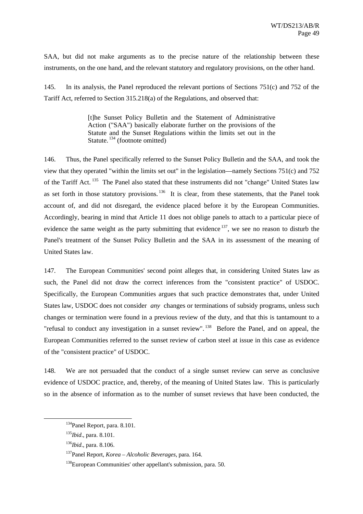SAA, but did not make arguments as to the precise nature of the relationship between these instruments, on the one hand, and the relevant statutory and regulatory provisions, on the other hand.

145. In its analysis, the Panel reproduced the relevant portions of Sections 751(c) and 752 of the Tariff Act, referred to Section 315.218(a) of the Regulations, and observed that:

> [t]he Sunset Policy Bulletin and the Statement of Administrative Action ("SAA") basically elaborate further on the provisions of the Statute and the Sunset Regulations within the limits set out in the Statute.<sup>134</sup> (footnote omitted)

146. Thus, the Panel specifically referred to the Sunset Policy Bulletin and the SAA, and took the view that they operated "within the limits set out" in the legislation—namely Sections 751(c) and 752 of the Tariff Act. <sup>135</sup> The Panel also stated that these instruments did not "change" United States law as set forth in those statutory provisions.  $136$  It is clear, from these statements, that the Panel took account of, and did not disregard, the evidence placed before it by the European Communities. Accordingly, bearing in mind that Article 11 does not oblige panels to attach to a particular piece of evidence the same weight as the party submitting that evidence  $137$ , we see no reason to disturb the Panel's treatment of the Sunset Policy Bulletin and the SAA in its assessment of the meaning of United States law.

147. The European Communities' second point alleges that, in considering United States law as such, the Panel did not draw the correct inferences from the "consistent practice" of USDOC. Specifically, the European Communities argues that such practice demonstrates that, under United States law, USDOC does not consider *any* changes or terminations of subsidy programs, unless such changes or termination were found in a previous review of the duty, and that this is tantamount to a "refusal to conduct any investigation in a sunset review". <sup>138</sup> Before the Panel, and on appeal, the European Communities referred to the sunset review of carbon steel at issue in this case as evidence of the "consistent practice" of USDOC.

148. We are not persuaded that the conduct of a single sunset review can serve as conclusive evidence of USDOC practice, and, thereby, of the meaning of United States law. This is particularly so in the absence of information as to the number of sunset reviews that have been conducted, the

 $\overline{a}$ 

<sup>134</sup>Panel Report, para. 8.101.

<sup>135</sup>*Ibid*., para. 8.101.

<sup>136</sup>*Ibid*., para. 8.106.

<sup>137</sup>Panel Report, *Korea – Alcoholic Beverages*, para. 164.

<sup>&</sup>lt;sup>138</sup>European Communities' other appellant's submission, para. 50.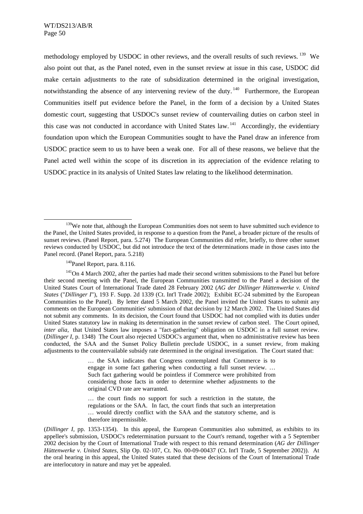$\overline{a}$ 

methodology employed by USDOC in other reviews, and the overall results of such reviews. <sup>139</sup> We also point out that, as the Panel noted, even in the sunset review at issue in this case, USDOC did make certain adjustments to the rate of subsidization determined in the original investigation, notwithstanding the absence of any intervening review of the duty.<sup>140</sup> Furthermore, the European Communities itself put evidence before the Panel, in the form of a decision by a United States domestic court, suggesting that USDOC's sunset review of countervailing duties on carbon steel in this case was not conducted in accordance with United States law. <sup>141</sup> Accordingly, the evidentiary foundation upon which the European Communities sought to have the Panel draw an inference from USDOC practice seem to us to have been a weak one. For all of these reasons, we believe that the Panel acted well within the scope of its discretion in its appreciation of the evidence relating to USDOC practice in its analysis of United States law relating to the likelihood determination.

… the SAA indicates that Congress contemplated that Commerce is to engage in some fact gathering when conducting a full sunset review. … Such fact gathering would be pointless if Commerce were prohibited from considering those facts in order to determine whether adjustments to the original CVD rate are warranted.

… the court finds no support for such a restriction in the statute, the regulations or the SAA. In fact, the court finds that such an interpretation … would directly conflict with the SAA and the statutory scheme, and is therefore impermissible.

 $139$ We note that, although the European Communities does not seem to have submitted such evidence to the Panel, the United States provided, in response to a question from the Panel, a broader picture of the results of sunset reviews. (Panel Report, para. 5.274) The European Communities did refer, briefly, to three other sunset reviews conducted by USDOC, but did not introduce the text of the determinations made in those cases into the Panel record. (Panel Report, para. 5.218)

<sup>&</sup>lt;sup>140</sup>Panel Report, para. 8.116.

<sup>&</sup>lt;sup>141</sup>On 4 March 2002, after the parties had made their second written submissions to the Panel but before their second meeting with the Panel, the European Communities transmitted to the Panel a decision of the United States Court of International Trade dated 28 February 2002 (*AG der Dillinger Hüttenwerke v. United States* ("*Dillinger I*"), 193 F. Supp. 2d 1339 (Ct. Int'l Trade 2002); Exhibit EC-24 submitted by the European Communities to the Panel). By letter dated 5 March 2002, the Panel invited the United States to submit any comments on the European Communities' submission of that decision by 12 March 2002. The United States did not submit any comments. In its decision, the Court found that USDOC had not complied with its duties under United States statutory law in making its determination in the sunset review of carbon steel. The Court opined, *inter alia*, that United States law imposes a "fact-gathering" obligation on USDOC in a full sunset review. (*Dillinger I,* p. 1348) The Court also rejected USDOC's argument that, when no administrative review has been conducted, the SAA and the Sunset Policy Bulletin preclude USDOC, in a sunset review, from making adjustments to the countervailable subsidy rate determined in the original investigation. The Court stated that:

<sup>(</sup>*Dillinger I,* pp. 1353-1354). In this appeal, the European Communities also submitted, as exhibits to its appellee's submission, USDOC's redetermination pursuant to the Court's remand, together with a 5 September 2002 decision by the Court of International Trade with respect to this remand determination (*AG der Dillinger Hüttenwerke v. United States*, Slip Op. 02-107, Ct. No. 00-09-00437 (Ct. Int'l Trade, 5 September 2002)). At the oral hearing in this appeal, the United States stated that these decisions of the Court of International Trade are interlocutory in nature and may yet be appealed.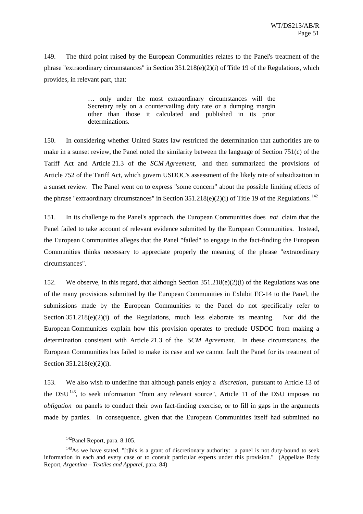149. The third point raised by the European Communities relates to the Panel's treatment of the phrase "extraordinary circumstances" in Section 351.218(e)(2)(i) of Title 19 of the Regulations, which provides, in relevant part, that:

> … only under the most extraordinary circumstances will the Secretary rely on a countervailing duty rate or a dumping margin other than those it calculated and published in its prior determinations.

150. In considering whether United States law restricted the determination that authorities are to make in a sunset review, the Panel noted the similarity between the language of Section 751(c) of the Tariff Act and Article 21.3 of the *SCM Agreement*, and then summarized the provisions of Article 752 of the Tariff Act, which govern USDOC's assessment of the likely rate of subsidization in a sunset review. The Panel went on to express "some concern" about the possible limiting effects of the phrase "extraordinary circumstances" in Section  $351.218(e)(2)(i)$  of Title 19 of the Regulations. <sup>142</sup>

151. In its challenge to the Panel's approach, the European Communities does *not* claim that the Panel failed to take account of relevant evidence submitted by the European Communities. Instead, the European Communities alleges that the Panel "failed" to engage in the fact-finding the European Communities thinks necessary to appreciate properly the meaning of the phrase "extraordinary circumstances".

152. We observe, in this regard, that although Section 351.218(e)(2)(i) of the Regulations was one of the many provisions submitted by the European Communities in Exhibit EC-14 to the Panel, the submissions made by the European Communities to the Panel do not specifically refer to Section 351.218(e)(2)(i) of the Regulations, much less elaborate its meaning. Nor did the European Communities explain how this provision operates to preclude USDOC from making a determination consistent with Article 21.3 of the *SCM Agreement*. In these circumstances, the European Communities has failed to make its case and we cannot fault the Panel for its treatment of Section 351.218(e)(2)(i).

153. We also wish to underline that although panels enjoy a *discretion*, pursuant to Article 13 of the DSU<sup>143</sup>, to seek information "from any relevant source", Article 11 of the DSU imposes no *obligation* on panels to conduct their own fact-finding exercise, or to fill in gaps in the arguments made by parties. In consequence, given that the European Communities itself had submitted no

<sup>142</sup>Panel Report, para. 8.105.

<sup>&</sup>lt;sup>143</sup>As we have stated, "[t]his is a grant of discretionary authority: a panel is not duty-bound to seek information in each and every case or to consult particular experts under this provision." (Appellate Body Report, *Argentina – Textiles and Apparel*, para. 84)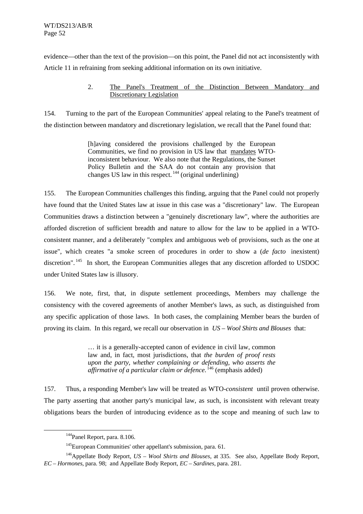evidence—other than the text of the provision—on this point, the Panel did not act inconsistently with Article 11 in refraining from seeking additional information on its own initiative.

### 2. The Panel's Treatment of the Distinction Between Mandatory and Discretionary Legislation

154. Turning to the part of the European Communities' appeal relating to the Panel's treatment of the distinction between mandatory and discretionary legislation, we recall that the Panel found that:

> [h]aving considered the provisions challenged by the European Communities, we find no provision in US law that mandates WTOinconsistent behaviour. We also note that the Regulations, the Sunset Policy Bulletin and the SAA do not contain any provision that changes US law in this respect.<sup>144</sup> (original underlining)

155. The European Communities challenges this finding, arguing that the Panel could not properly have found that the United States law at issue in this case was a "discretionary" law. The European Communities draws a distinction between a "genuinely discretionary law", where the authorities are afforded discretion of sufficient breadth and nature to allow for the law to be applied in a WTOconsistent manner, and a deliberately "complex and ambiguous web of provisions, such as the one at issue", which creates "a smoke screen of procedures in order to show a (*de facto* inexistent) discretion".<sup>145</sup> In short, the European Communities alleges that any discretion afforded to USDOC under United States law is illusory.

156. We note, first, that, in dispute settlement proceedings, Members may challenge the consistency with the covered agreements of another Member's laws, as such, as distinguished from any specific application of those laws. In both cases, the complaining Member bears the burden of proving its claim. In this regard, we recall our observation in *US – Wool Shirts and Blouses* that:

> … it is a generally-accepted canon of evidence in civil law, common law and, in fact, most jurisdictions, that *the burden of proof rests upon the party, whether complaining or defending, who asserts the affirmative of a particular claim or defence*. <sup>146</sup> (emphasis added)

157. Thus, a responding Member's law will be treated as WTO-*consistent* until proven otherwise. The party asserting that another party's municipal law, as such, is inconsistent with relevant treaty obligations bears the burden of introducing evidence as to the scope and meaning of such law to

<sup>&</sup>lt;sup>144</sup>Panel Report, para. 8.106.

<sup>&</sup>lt;sup>145</sup>European Communities' other appellant's submission, para. 61.

<sup>146</sup>Appellate Body Report, *US – Wool Shirts and Blouses*, at 335. See also, Appellate Body Report, *EC – Hormones*, para. 98; and Appellate Body Report, *EC – Sardines*, para. 281.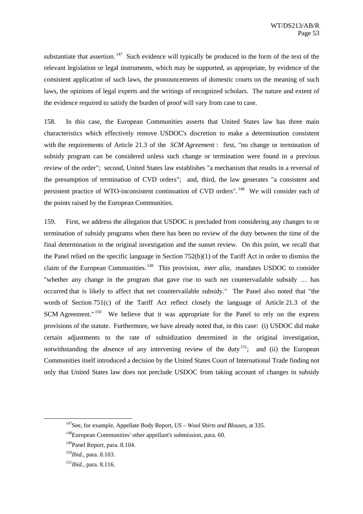substantiate that assertion.<sup>147</sup> Such evidence will typically be produced in the form of the text of the relevant legislation or legal instruments, which may be supported, as appropriate, by evidence of the consistent application of such laws, the pronouncements of domestic courts on the meaning of such laws, the opinions of legal experts and the writings of recognized scholars. The nature and extent of the evidence required to satisfy the burden of proof will vary from case to case.

158. In this case, the European Communities asserts that United States law has three main characteristics which effectively remove USDOC's discretion to make a determination consistent with the requirements of Article 21.3 of the *SCM Agreement* : first, "no change or termination of subsidy program can be considered unless such change or termination were found in a previous review of the order"; second, United States law establishes "a mechanism that results in a reversal of the presumption of termination of CVD orders"; and, third, the law generates "a consistent and persistent practice of WTO-inconsistent continuation of CVD orders". <sup>148</sup> We will consider each of the points raised by the European Communities.

159. First, we address the allegation that USDOC is precluded from considering any changes to or termination of subsidy programs when there has been no review of the duty between the time of the final determination in the original investigation and the sunset review. On this point, we recall that the Panel relied on the specific language in Section 752(b)(1) of the Tariff Act in order to dismiss the claim of the European Communities. <sup>149</sup> This provision, *inter alia*, mandates USDOC to consider "whether any change in the program that gave rise to such net countervailable subsidy … has occurred that is likely to affect that net countervailable subsidy." The Panel also noted that "the words of Section 751(c) of the Tariff Act reflect closely the language of Article 21.3 of the SCM Agreement."<sup>150</sup> We believe that it was appropriate for the Panel to rely on the express provisions of the statute. Furthermore, we have already noted that, in this case: (i) USDOC did make certain adjustments to the rate of subsidization determined in the original investigation, notwithstanding the absence of any intervening review of the duty<sup>151</sup>; and (ii) the European Communities itself introduced a decision by the United States Court of International Trade finding not only that United States law does not preclude USDOC from taking account of changes in subsidy

 $\overline{a}$ 

<sup>147</sup>See, for example, Appellate Body Report, *US – Wool Shirts and Blouses*, at 335.

<sup>148</sup>European Communities' other appellant's submission, para. 60.

 $149$ Panel Report, para. 8.104.

<sup>150</sup>*Ibid*., para. 8.103.

<sup>151</sup>*Ibid*., para. 8.116.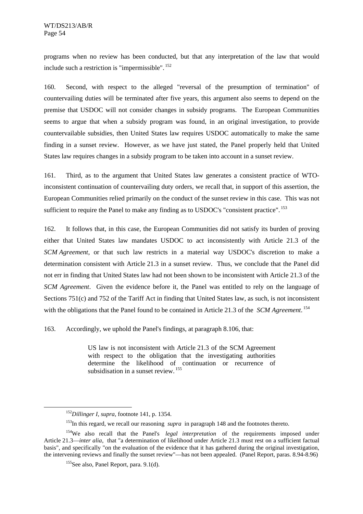programs when no review has been conducted, but that any interpretation of the law that would include such a restriction is "impermissible".  $152$ 

160. Second, with respect to the alleged "reversal of the presumption of termination" of countervailing duties will be terminated after five years, this argument also seems to depend on the premise that USDOC will not consider changes in subsidy programs. The European Communities seems to argue that when a subsidy program was found, in an original investigation, to provide countervailable subsidies, then United States law requires USDOC automatically to make the same finding in a sunset review. However, as we have just stated, the Panel properly held that United States law requires changes in a subsidy program to be taken into account in a sunset review.

161. Third, as to the argument that United States law generates a consistent practice of WTOinconsistent continuation of countervailing duty orders, we recall that, in support of this assertion, the European Communities relied primarily on the conduct of the sunset review in this case. This was not sufficient to require the Panel to make any finding as to USDOC's "consistent practice". <sup>153</sup>

162. It follows that, in this case, the European Communities did not satisfy its burden of proving either that United States law mandates USDOC to act inconsistently with Article 21.3 of the *SCM Agreement*, or that such law restricts in a material way USDOC's discretion to make a determination consistent with Article 21.3 in a sunset review. Thus, we conclude that the Panel did not err in finding that United States law had not been shown to be inconsistent with Article 21.3 of the *SCM Agreement*. Given the evidence before it, the Panel was entitled to rely on the language of Sections 751(c) and 752 of the Tariff Act in finding that United States law, as such, is not inconsistent with the obligations that the Panel found to be contained in Article 21.3 of the *SCM Agreement*. 154

163. Accordingly, we uphold the Panel's findings, at paragraph 8.106, that:

US law is not inconsistent with Article 21.3 of the SCM Agreement with respect to the obligation that the investigating authorities determine the likelihood of continuation or recurrence of subsidisation in a sunset review.<sup>155</sup>

<sup>152</sup>*Dillinger I*, *supra*, footnote 141, p. 1354.

<sup>&</sup>lt;sup>153</sup>In this regard, we recall our reasoning *supra* in paragraph 148 and the footnotes thereto.

<sup>154</sup>We also recall that the Panel's *legal interpretation* of the requirements imposed under Article 21.3—*inter alia*, that "a determination of likelihood under Article 21.3 must rest on a sufficient factual basis", and specifically "on the evaluation of the evidence that it has gathered during the original investigation, the intervening reviews and finally the sunset review"—has not been appealed. (Panel Report, paras. 8.94-8.96)

 $155$ See also, Panel Report, para. 9.1(d).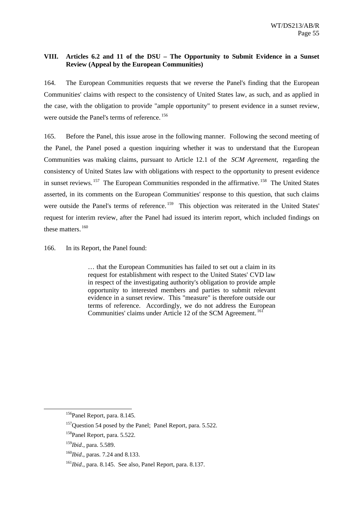#### **VIII. Articles 6.2 and 11 of the DSU – The Opportunity to Submit Evidence in a Sunset Review (Appeal by the European Communities)**

164. The European Communities requests that we reverse the Panel's finding that the European Communities' claims with respect to the consistency of United States law, as such, and as applied in the case, with the obligation to provide "ample opportunity" to present evidence in a sunset review, were outside the Panel's terms of reference. <sup>156</sup>

165. Before the Panel, this issue arose in the following manner. Following the second meeting of the Panel, the Panel posed a question inquiring whether it was to understand that the European Communities was making claims, pursuant to Article 12.1 of the *SCM Agreement*, regarding the consistency of United States law with obligations with respect to the opportunity to present evidence in sunset reviews. <sup>157</sup> The European Communities responded in the affirmative. <sup>158</sup> The United States asserted, in its comments on the European Communities' response to this question, that such claims were outside the Panel's terms of reference. <sup>159</sup> This objection was reiterated in the United States' request for interim review, after the Panel had issued its interim report, which included findings on these matters.<sup>160</sup>

166. In its Report, the Panel found:

… that the European Communities has failed to set out a claim in its request for establishment with respect to the United States' CVD law in respect of the investigating authority's obligation to provide ample opportunity to interested members and parties to submit relevant evidence in a sunset review. This "measure" is therefore outside our terms of reference. Accordingly, we do not address the European Communities' claims under Article 12 of the SCM Agreement.<sup>161</sup>

<sup>&</sup>lt;sup>156</sup>Panel Report, para. 8.145.

<sup>&</sup>lt;sup>157</sup>Question 54 posed by the Panel; Panel Report, para. 5.522.

<sup>&</sup>lt;sup>158</sup>Panel Report, para. 5.522.

<sup>159</sup>*Ibid*., para. 5.589.

<sup>160</sup>*Ibid*., paras. 7.24 and 8.133.

<sup>161</sup>*Ibid*., para. 8.145. See also, Panel Report, para. 8.137.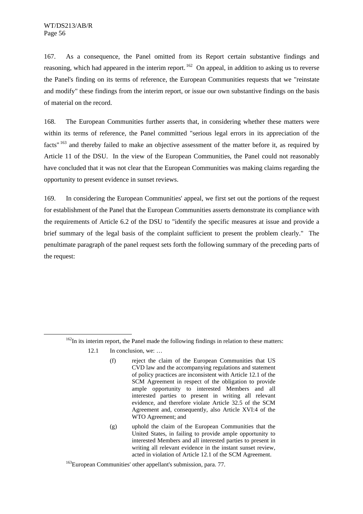167. As a consequence, the Panel omitted from its Report certain substantive findings and reasoning, which had appeared in the interim report.  $162$  On appeal, in addition to asking us to reverse the Panel's finding on its terms of reference, the European Communities requests that we "reinstate and modify" these findings from the interim report, or issue our own substantive findings on the basis of material on the record.

168. The European Communities further asserts that, in considering whether these matters were within its terms of reference, the Panel committed "serious legal errors in its appreciation of the facts" <sup>163</sup> and thereby failed to make an objective assessment of the matter before it, as required by Article 11 of the DSU. In the view of the European Communities, the Panel could not reasonably have concluded that it was not clear that the European Communities was making claims regarding the opportunity to present evidence in sunset reviews.

169. In considering the European Communities' appeal, we first set out the portions of the request for establishment of the Panel that the European Communities asserts demonstrate its compliance with the requirements of Article 6.2 of the DSU to "identify the specific measures at issue and provide a brief summary of the legal basis of the complaint sufficient to present the problem clearly." The penultimate paragraph of the panel request sets forth the following summary of the preceding parts of the request:

12.1 In conclusion, we: ...

- (f) reject the claim of the European Communities that US CVD law and the accompanying regulations and statement of policy practices are inconsistent with Article 12.1 of the SCM Agreement in respect of the obligation to provide ample opportunity to interested Members and all interested parties to present in writing all relevant evidence, and therefore violate Article 32.5 of the SCM Agreement and, consequently, also Article XVI:4 of the WTO Agreement; and
- (g) uphold the claim of the European Communities that the United States, in failing to provide ample opportunity to interested Members and all interested parties to present in writing all relevant evidence in the instant sunset review, acted in violation of Article 12.1 of the SCM Agreement.

<sup>&</sup>lt;sup>162</sup>In its interim report, the Panel made the following findings in relation to these matters:

<sup>&</sup>lt;sup>163</sup>European Communities' other appellant's submission, para. 77.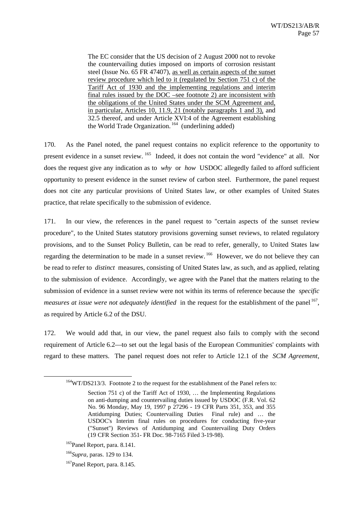The EC consider that the US decision of 2 August 2000 not to revoke the countervailing duties imposed on imports of corrosion resistant steel (Issue No. 65 FR 47407), as well as certain aspects of the sunset review procedure which led to it (regulated by Section 751 c) of the Tariff Act of 1930 and the implementing regulations and interim final rules issued by the DOC –see footnote 2) are inconsistent with the obligations of the United States under the SCM Agreement and, in particular, Articles 10, 11.9, 21 (notably paragraphs 1 and 3), and 32.5 thereof, and under Article XVI:4 of the Agreement establishing the World Trade Organization. <sup>164</sup> (underlining added)

170. As the Panel noted, the panel request contains no explicit reference to the opportunity to present evidence in a sunset review. <sup>165</sup> Indeed, it does not contain the word "evidence" at all. Nor does the request give any indication as to *why* or *how* USDOC allegedly failed to afford sufficient opportunity to present evidence in the sunset review of carbon steel. Furthermore, the panel request does not cite any particular provisions of United States law, or other examples of United States practice, that relate specifically to the submission of evidence.

171. In our view, the references in the panel request to "certain aspects of the sunset review procedure", to the United States statutory provisions governing sunset reviews, to related regulatory provisions, and to the Sunset Policy Bulletin, can be read to refer, generally, to United States law regarding the determination to be made in a sunset review. <sup>166</sup> However, we do not believe they can be read to refer to *distinct* measures, consisting of United States law, as such, and as applied, relating to the submission of evidence. Accordingly, we agree with the Panel that the matters relating to the submission of evidence in a sunset review were not within its terms of reference because the *specific measures at issue were not adequately identified* in the request for the establishment of the panel <sup>167</sup>, as required by Article 6.2 of the DSU.

172. We would add that, in our view, the panel request also fails to comply with the second requirement of Article 6.2—to set out the legal basis of the European Communities' complaints with regard to these matters. The panel request does not refer to Article 12.1 of the *SCM Agreement*,

<sup>&</sup>lt;sup>164</sup>WT/DS213/3. Footnote 2 to the request for the establishment of the Panel refers to:

Section 751 c) of the Tariff Act of 1930, … the Implementing Regulations on anti-dumping and countervailing duties issued by USDOC (F.R. Vol. 62 No. 96 Monday, May 19, 1997 p 27296 - 19 CFR Parts 351, 353, and 355 Antidumping Duties; Countervailing Duties Final rule) and … the USDOC's Interim final rules on procedures for conducting five-year ("Sunset'') Reviews of Antidumping and Countervailing Duty Orders (19 CFR Section 351- FR Doc. 98-7165 Filed 3-19-98).

<sup>&</sup>lt;sup>165</sup>Panel Report, para. 8.141.

<sup>166</sup>*Supra*, paras. 129 to 134.

<sup>&</sup>lt;sup>167</sup>Panel Report, para. 8.145.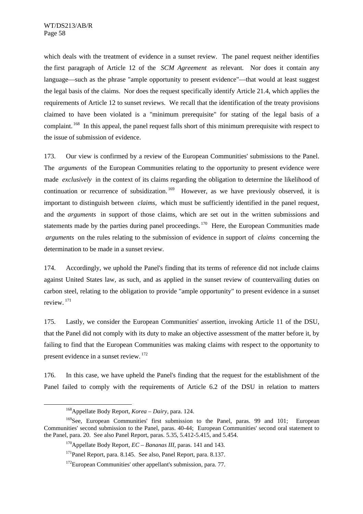which deals with the treatment of evidence in a sunset review. The panel request neither identifies the first paragraph of Article 12 of the *SCM Agreement* as relevant. Nor does it contain any language—such as the phrase "ample opportunity to present evidence"—that would at least suggest the legal basis of the claims. Nor does the request specifically identify Article 21.4, which applies the requirements of Article 12 to sunset reviews. We recall that the identification of the treaty provisions claimed to have been violated is a "minimum prerequisite" for stating of the legal basis of a complaint. <sup>168</sup> In this appeal, the panel request falls short of this minimum prerequisite with respect to the issue of submission of evidence.

173. Our view is confirmed by a review of the European Communities' submissions to the Panel. The *arguments* of the European Communities relating to the opportunity to present evidence were made *exclusively* in the context of its claims regarding the obligation to determine the likelihood of continuation or recurrence of subsidization.<sup>169</sup> However, as we have previously observed, it is important to distinguish between *claims*, which must be sufficiently identified in the panel request, and the *arguments* in support of those claims, which are set out in the written submissions and statements made by the parties during panel proceedings. <sup>170</sup> Here, the European Communities made *arguments* on the rules relating to the submission of evidence in support of *claims* concerning the determination to be made in a sunset review.

174. Accordingly, we uphold the Panel's finding that its terms of reference did not include claims against United States law, as such, and as applied in the sunset review of countervailing duties on carbon steel, relating to the obligation to provide "ample opportunity" to present evidence in a sunset review. <sup>171</sup>

175. Lastly, we consider the European Communities' assertion, invoking Article 11 of the DSU, that the Panel did not comply with its duty to make an objective assessment of the matter before it, by failing to find that the European Communities was making claims with respect to the opportunity to present evidence in a sunset review. <sup>172</sup>

176. In this case, we have upheld the Panel's finding that the request for the establishment of the Panel failed to comply with the requirements of Article 6.2 of the DSU in relation to matters

<sup>168</sup>Appellate Body Report, *Korea – Dairy*, para. 124.

<sup>&</sup>lt;sup>169</sup>See, European Communities' first submission to the Panel, paras. 99 and 101; European Communities' second submission to the Panel, paras. 40-44; European Communities' second oral statement to the Panel, para. 20. See also Panel Report, paras. 5.35, 5.412-5.415, and 5.454.

<sup>&</sup>lt;sup>170</sup>Appellate Body Report,  $EC - Bananas III$ , paras. 141 and 143.

<sup>&</sup>lt;sup>171</sup>Panel Report, para. 8.145. See also, Panel Report, para. 8.137.

<sup>&</sup>lt;sup>172</sup>European Communities' other appellant's submission, para. 77.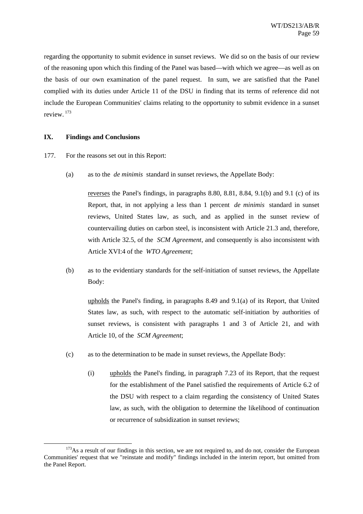regarding the opportunity to submit evidence in sunset reviews. We did so on the basis of our review of the reasoning upon which this finding of the Panel was based—with which we agree—as well as on the basis of our own examination of the panel request. In sum, we are satisfied that the Panel complied with its duties under Article 11 of the DSU in finding that its terms of reference did not include the European Communities' claims relating to the opportunity to submit evidence in a sunset review. <sup>173</sup>

#### **IX. Findings and Conclusions**

l

177. For the reasons set out in this Report:

(a) as to the *de minimis* standard in sunset reviews, the Appellate Body:

reverses the Panel's findings, in paragraphs 8.80, 8.81, 8.84, 9.1(b) and 9.1 (c) of its Report, that, in not applying a less than 1 percent *de minimis* standard in sunset reviews, United States law, as such, and as applied in the sunset review of countervailing duties on carbon steel, is inconsistent with Article 21.3 and, therefore, with Article 32.5, of the *SCM Agreement*, and consequently is also inconsistent with Article XVI:4 of the *WTO Agreement*;

(b) as to the evidentiary standards for the self-initiation of sunset reviews, the Appellate Body:

upholds the Panel's finding, in paragraphs 8.49 and 9.1(a) of its Report, that United States law, as such, with respect to the automatic self-initiation by authorities of sunset reviews, is consistent with paragraphs 1 and 3 of Article 21, and with Article 10, of the *SCM Agreement*;

- (c) as to the determination to be made in sunset reviews, the Appellate Body:
	- (i) upholds the Panel's finding, in paragraph 7.23 of its Report, that the request for the establishment of the Panel satisfied the requirements of Article 6.2 of the DSU with respect to a claim regarding the consistency of United States law, as such, with the obligation to determine the likelihood of continuation or recurrence of subsidization in sunset reviews;

<sup>&</sup>lt;sup>173</sup>As a result of our findings in this section, we are not required to, and do not, consider the European Communities' request that we "reinstate and modify" findings included in the interim report, but omitted from the Panel Report.